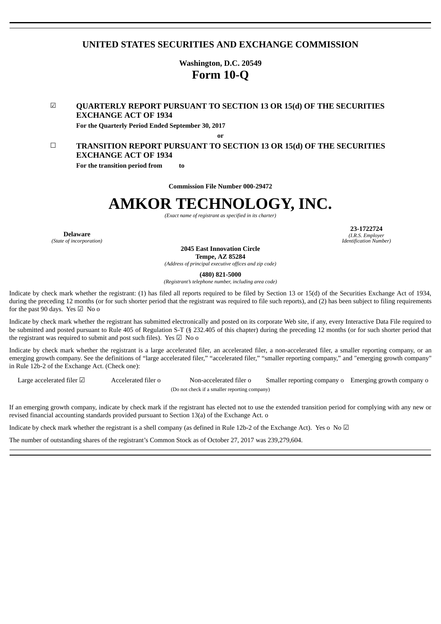# **UNITED STATES SECURITIES AND EXCHANGE COMMISSION**

**Washington, D.C. 20549 Form 10-Q**

# ☑ **QUARTERLY REPORT PURSUANT TO SECTION 13 OR 15(d) OF THE SECURITIES EXCHANGE ACT OF 1934**

**For the Quarterly Period Ended September 30, 2017**

**or**

# ☐ **TRANSITION REPORT PURSUANT TO SECTION 13 OR 15(d) OF THE SECURITIES EXCHANGE ACT OF 1934**

**For the transition period from to**

**Commission File Number 000-29472**

# **AMKOR TECHNOLOGY, INC.**

*(Exact name of registrant as specified in its charter)*

**Delaware** *(State of incorporation)*

**23-1722724** *(I.R.S. Employer Identification Number)*

**2045 East Innovation Circle Tempe, AZ 85284**

*(Address of principal executive offices and zip code)*

**(480) 821-5000**

*(Registrant's telephone number, including area code)*

Indicate by check mark whether the registrant: (1) has filed all reports required to be filed by Section 13 or 15(d) of the Securities Exchange Act of 1934, during the preceding 12 months (or for such shorter period that the registrant was required to file such reports), and (2) has been subject to filing requirements for the past 90 days. Yes  $\boxtimes$  No o

Indicate by check mark whether the registrant has submitted electronically and posted on its corporate Web site, if any, every Interactive Data File required to be submitted and posted pursuant to Rule 405 of Regulation S-T (§ 232.405 of this chapter) during the preceding 12 months (or for such shorter period that the registrant was required to submit and post such files). Yes  $\boxtimes$  No o

Indicate by check mark whether the registrant is a large accelerated filer, an accelerated filer, a non-accelerated filer, a smaller reporting company, or an emerging growth company. See the definitions of "large accelerated filer," "accelerated filer," "smaller reporting company," and "emerging growth company" in Rule 12b-2 of the Exchange Act. (Check one):

Large accelerated filer **☑** Accelerated filer o Non-accelerated filer o Smaller reporting company o Emerging growth company o (Do not check if a smaller reporting company)

If an emerging growth company, indicate by check mark if the registrant has elected not to use the extended transition period for complying with any new or revised financial accounting standards provided pursuant to Section 13(a) of the Exchange Act. o

Indicate by check mark whether the registrant is a shell company (as defined in Rule 12b-2 of the Exchange Act). Yes o No  $\Box$ 

The number of outstanding shares of the registrant's Common Stock as of October 27, 2017 was 239,279,604.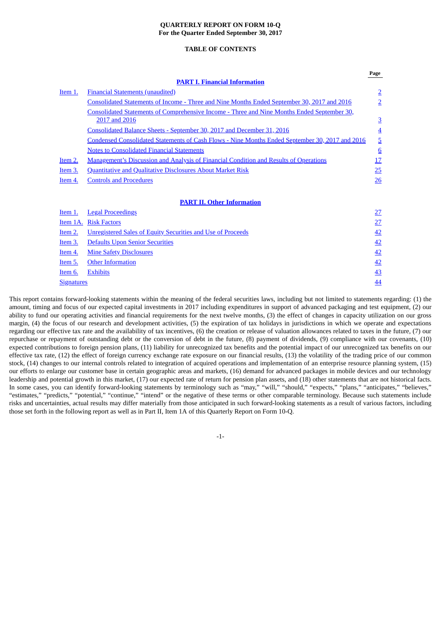#### **QUARTERLY REPORT ON FORM 10-Q For the Quarter Ended September 30, 2017**

## **TABLE OF CONTENTS**

<span id="page-1-0"></span>

|                   |                                                                                                 | Page            |
|-------------------|-------------------------------------------------------------------------------------------------|-----------------|
|                   | <b>PART I. Financial Information</b>                                                            |                 |
| Item 1.           | <b>Financial Statements (unaudited)</b>                                                         | $\overline{2}$  |
|                   | Consolidated Statements of Income - Three and Nine Months Ended September 30, 2017 and 2016     | $\overline{2}$  |
|                   | Consolidated Statements of Comprehensive Income - Three and Nine Months Ended September 30,     |                 |
|                   | 2017 and 2016                                                                                   | $\overline{3}$  |
|                   | Consolidated Balance Sheets - September 30, 2017 and December 31, 2016                          | $\overline{4}$  |
|                   | Condensed Consolidated Statements of Cash Flows - Nine Months Ended September 30, 2017 and 2016 | $\overline{5}$  |
|                   | <b>Notes to Consolidated Financial Statements</b>                                               | $6\overline{6}$ |
| Item 2.           | <b>Management's Discussion and Analysis of Financial Condition and Results of Operations</b>    | 17              |
| Item 3.           | <b>Quantitative and Qualitative Disclosures About Market Risk</b>                               | 25              |
| Item 4.           | <b>Controls and Procedures</b>                                                                  | 26              |
|                   |                                                                                                 |                 |
|                   | <b>PART II. Other Information</b>                                                               |                 |
| Item 1.           | <b>Legal Proceedings</b>                                                                        | <u>27</u>       |
|                   | Item 1A. Risk Factors                                                                           | 27              |
| Item 2.           | <b>Unregistered Sales of Equity Securities and Use of Proceeds</b>                              | 42              |
| Item 3.           | <b>Defaults Upon Senior Securities</b>                                                          | 42              |
| Item 4.           | <b>Mine Safety Disclosures</b>                                                                  | 42              |
| Item 5.           | <b>Other Information</b>                                                                        | 42              |
| Item 6.           | <b>Exhibits</b>                                                                                 | 43              |
| <b>Signatures</b> |                                                                                                 | $\overline{44}$ |
|                   |                                                                                                 |                 |

This report contains forward-looking statements within the meaning of the federal securities laws, including but not limited to statements regarding: (1) the amount, timing and focus of our expected capital investments in 2017 including expenditures in support of advanced packaging and test equipment, (2) our ability to fund our operating activities and financial requirements for the next twelve months, (3) the effect of changes in capacity utilization on our gross margin, (4) the focus of our research and development activities, (5) the expiration of tax holidays in jurisdictions in which we operate and expectations regarding our effective tax rate and the availability of tax incentives, (6) the creation or release of valuation allowances related to taxes in the future, (7) our repurchase or repayment of outstanding debt or the conversion of debt in the future, (8) payment of dividends, (9) compliance with our covenants, (10) expected contributions to foreign pension plans, (11) liability for unrecognized tax benefits and the potential impact of our unrecognized tax benefits on our effective tax rate, (12) the effect of foreign currency exchange rate exposure on our financial results, (13) the volatility of the trading price of our common stock, (14) changes to our internal controls related to integration of acquired operations and implementation of an enterprise resource planning system, (15) our efforts to enlarge our customer base in certain geographic areas and markets, (16) demand for advanced packages in mobile devices and our technology leadership and potential growth in this market, (17) our expected rate of return for pension plan assets, and (18) other statements that are not historical facts. In some cases, you can identify forward-looking statements by terminology such as "may," "will," "should," "expects," "plans," "anticipates," "believes," "estimates," "predicts," "potential," "continue," "intend" or the negative of these terms or other comparable terminology. Because such statements include risks and uncertainties, actual results may differ materially from those anticipated in such forward-looking statements as a result of various factors, including those set forth in the following report as well as in Part II, Item 1A of this Quarterly Report on Form 10-Q.

#### -1-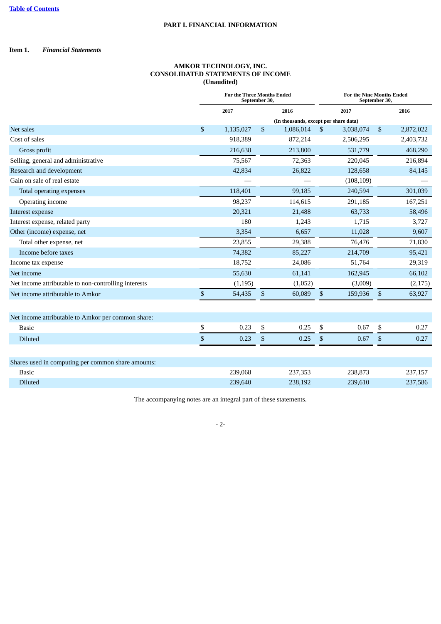<span id="page-2-2"></span><span id="page-2-1"></span><span id="page-2-0"></span>**Item 1.** *Financial Statements*

## **AMKOR TECHNOLOGY, INC. CONSOLIDATED STATEMENTS OF INCOME (Unaudited)**

|                                                      |                | <b>For the Three Months Ended</b><br>September 30, |                                       |                |            | For the Nine Months Ended<br>September 30, |           |  |
|------------------------------------------------------|----------------|----------------------------------------------------|---------------------------------------|----------------|------------|--------------------------------------------|-----------|--|
|                                                      |                | 2017                                               | 2016                                  |                | 2017       |                                            | 2016      |  |
|                                                      |                |                                                    | (In thousands, except per share data) |                |            |                                            |           |  |
| Net sales                                            | $\mathfrak{S}$ | 1,135,027                                          | \$<br>1,086,014                       | $\mathfrak{S}$ | 3,038,074  | \$                                         | 2,872,022 |  |
| Cost of sales                                        |                | 918,389                                            | 872,214                               |                | 2,506,295  |                                            | 2,403,732 |  |
| Gross profit                                         |                | 216,638                                            | 213,800                               |                | 531,779    |                                            | 468,290   |  |
| Selling, general and administrative                  |                | 75,567                                             | 72,363                                |                | 220,045    |                                            | 216,894   |  |
| Research and development                             |                | 42,834                                             | 26,822                                |                | 128,658    |                                            | 84,145    |  |
| Gain on sale of real estate                          |                |                                                    |                                       |                | (108, 109) |                                            |           |  |
| <b>Total operating expenses</b>                      |                | 118,401                                            | 99,185                                |                | 240,594    |                                            | 301,039   |  |
| Operating income                                     |                | 98,237                                             | 114,615                               |                | 291,185    |                                            | 167,251   |  |
| Interest expense                                     |                | 20,321                                             | 21,488                                |                | 63,733     |                                            | 58,496    |  |
| Interest expense, related party                      |                | 180                                                | 1,243                                 |                | 1,715      |                                            | 3,727     |  |
| Other (income) expense, net                          |                | 3,354                                              | 6,657                                 |                | 11,028     |                                            | 9,607     |  |
| Total other expense, net                             |                | 23,855                                             | 29,388                                |                | 76,476     |                                            | 71,830    |  |
| Income before taxes                                  |                | 74,382                                             | 85,227                                |                | 214,709    |                                            | 95,421    |  |
| Income tax expense                                   |                | 18,752                                             | 24,086                                |                | 51,764     |                                            | 29,319    |  |
| Net income                                           |                | 55,630                                             | 61,141                                |                | 162,945    |                                            | 66,102    |  |
| Net income attributable to non-controlling interests |                | (1, 195)                                           | (1,052)                               |                | (3,009)    |                                            | (2, 175)  |  |
| Net income attributable to Amkor                     | \$             | 54,435                                             | \$<br>60,089                          | \$             | 159,936    | \$                                         | 63,927    |  |
| Net income attributable to Amkor per common share:   |                |                                                    |                                       |                |            |                                            |           |  |
| <b>Basic</b>                                         | \$             | 0.23                                               | \$<br>0.25                            | \$             | 0.67       | \$                                         | 0.27      |  |
| <b>Diluted</b>                                       | \$             | 0.23                                               | \$<br>0.25                            | \$             | 0.67       | \$                                         | 0.27      |  |
|                                                      |                |                                                    |                                       |                |            |                                            |           |  |

| Shares used in computing per common share amounts: |         |         |         |         |
|----------------------------------------------------|---------|---------|---------|---------|
| <b>Basic</b>                                       | 239,068 | 237,353 | 238.873 | 237,157 |
| Diluted                                            | 239.640 | 238.192 | 239.610 | 237,586 |

The accompanying notes are an integral part of these statements.

- 2-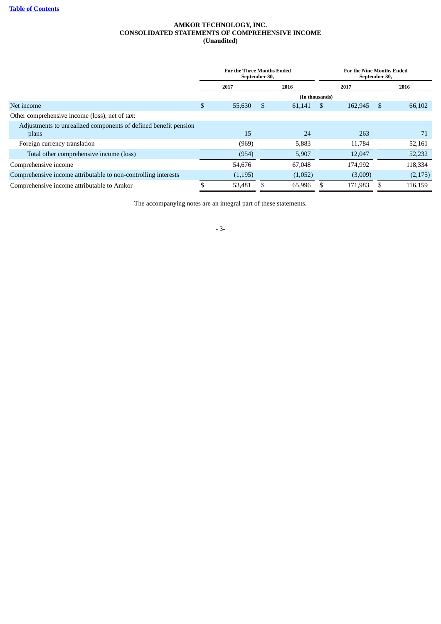## **AMKOR TECHNOLOGY, INC. CONSOLIDATED STATEMENTS OF COMPREHENSIVE INCOME (Unaudited)**

<span id="page-3-0"></span>

|                                                                          | <b>For the Three Months Ended</b><br>September 30, |   |                |   | <b>For the Nine Months Ended</b><br>September 30, |      |          |
|--------------------------------------------------------------------------|----------------------------------------------------|---|----------------|---|---------------------------------------------------|------|----------|
|                                                                          | 2017                                               |   | 2016           |   | 2017                                              |      | 2016     |
|                                                                          |                                                    |   | (In thousands) |   |                                                   |      |          |
| Net income                                                               | \$<br>55,630                                       | S | 61,141         | S | 162,945                                           | - \$ | 66,102   |
| Other comprehensive income (loss), net of tax:                           |                                                    |   |                |   |                                                   |      |          |
| Adjustments to unrealized components of defined benefit pension<br>plans | 15                                                 |   | 24             |   | 263                                               |      | 71       |
| Foreign currency translation                                             | (969)                                              |   | 5,883          |   | 11,784                                            |      | 52,161   |
| Total other comprehensive income (loss)                                  | (954)                                              |   | 5,907          |   | 12,047                                            |      | 52,232   |
| Comprehensive income                                                     | 54,676                                             |   | 67,048         |   | 174,992                                           |      | 118,334  |
| Comprehensive income attributable to non-controlling interests           | (1,195)                                            |   | (1,052)        |   | (3,009)                                           |      | (2, 175) |
| Comprehensive income attributable to Amkor                               | \$<br>53,481                                       |   | 65.996         | S | 171,983                                           | .S   | 116,159  |

The accompanying notes are an integral part of these statements.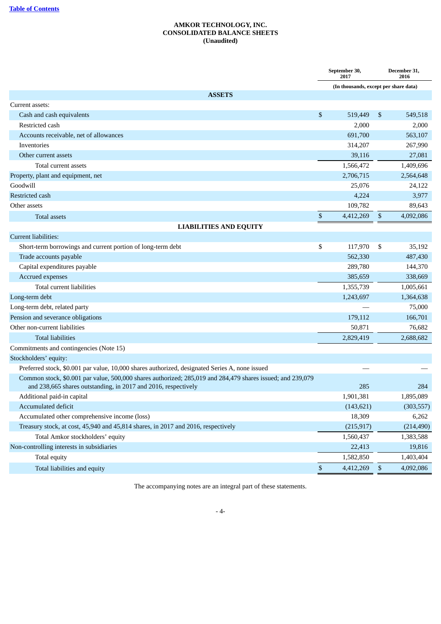## **AMKOR TECHNOLOGY, INC. CONSOLIDATED BALANCE SHEETS (Unaudited)**

<span id="page-4-0"></span>

|                                                                                                                                                                              | September 30,<br>2017                 |                           | December 31,<br>2016 |
|------------------------------------------------------------------------------------------------------------------------------------------------------------------------------|---------------------------------------|---------------------------|----------------------|
|                                                                                                                                                                              | (In thousands, except per share data) |                           |                      |
| <b>ASSETS</b>                                                                                                                                                                |                                       |                           |                      |
| Current assets:                                                                                                                                                              |                                       |                           |                      |
| Cash and cash equivalents                                                                                                                                                    | \$<br>519,449                         | \$                        | 549,518              |
| Restricted cash                                                                                                                                                              | 2,000                                 |                           | 2,000                |
| Accounts receivable, net of allowances                                                                                                                                       | 691,700                               |                           | 563,107              |
| Inventories                                                                                                                                                                  | 314,207                               |                           | 267,990              |
| Other current assets                                                                                                                                                         | 39,116                                |                           | 27,081               |
| Total current assets                                                                                                                                                         | 1,566,472                             |                           | 1,409,696            |
| Property, plant and equipment, net                                                                                                                                           | 2,706,715                             |                           | 2,564,648            |
| Goodwill                                                                                                                                                                     | 25,076                                |                           | 24,122               |
| <b>Restricted cash</b>                                                                                                                                                       | 4,224                                 |                           | 3,977                |
| Other assets                                                                                                                                                                 | 109,782                               |                           | 89,643               |
| <b>Total assets</b>                                                                                                                                                          | \$<br>4,412,269                       | \$                        | 4,092,086            |
| <b>LIABILITIES AND EQUITY</b>                                                                                                                                                |                                       |                           |                      |
| Current liabilities:                                                                                                                                                         |                                       |                           |                      |
| Short-term borrowings and current portion of long-term debt                                                                                                                  | \$<br>117,970                         | \$                        | 35,192               |
| Trade accounts payable                                                                                                                                                       | 562,330                               |                           | 487,430              |
| Capital expenditures payable                                                                                                                                                 | 289,780                               |                           | 144,370              |
| Accrued expenses                                                                                                                                                             | 385,659                               |                           | 338,669              |
| Total current liabilities                                                                                                                                                    | 1,355,739                             |                           | 1,005,661            |
| Long-term debt                                                                                                                                                               | 1,243,697                             |                           | 1,364,638            |
| Long-term debt, related party                                                                                                                                                |                                       |                           | 75,000               |
| Pension and severance obligations                                                                                                                                            | 179,112                               |                           | 166,701              |
| Other non-current liabilities                                                                                                                                                | 50,871                                |                           | 76,682               |
| <b>Total liabilities</b>                                                                                                                                                     | 2,829,419                             |                           | 2,688,682            |
| Commitments and contingencies (Note 15)                                                                                                                                      |                                       |                           |                      |
| Stockholders' equity:                                                                                                                                                        |                                       |                           |                      |
| Preferred stock, \$0.001 par value, 10,000 shares authorized, designated Series A, none issued                                                                               |                                       |                           |                      |
| Common stock, \$0.001 par value, 500,000 shares authorized; 285,019 and 284,479 shares issued; and 239,079<br>and 238,665 shares outstanding, in 2017 and 2016, respectively | 285                                   |                           | 284                  |
| Additional paid-in capital                                                                                                                                                   | 1,901,381                             |                           | 1,895,089            |
| Accumulated deficit                                                                                                                                                          | (143, 621)                            |                           | (303, 557)           |
| Accumulated other comprehensive income (loss)                                                                                                                                | 18,309                                |                           | 6,262                |
| Treasury stock, at cost, 45,940 and 45,814 shares, in 2017 and 2016, respectively                                                                                            | (215, 917)                            |                           | (214, 490)           |
| Total Amkor stockholders' equity                                                                                                                                             | 1,560,437                             |                           | 1,383,588            |
| Non-controlling interests in subsidiaries                                                                                                                                    | 22,413                                |                           | 19,816               |
| Total equity                                                                                                                                                                 | 1,582,850                             |                           | 1,403,404            |
| Total liabilities and equity                                                                                                                                                 | \$<br>4,412,269                       | $\boldsymbol{\mathsf{S}}$ | 4,092,086            |

The accompanying notes are an integral part of these statements.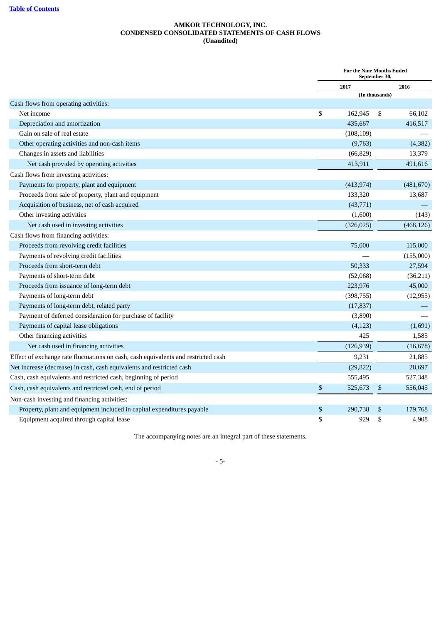## **AMKOR TECHNOLOGY, INC. CONDENSED CONSOLIDATED STATEMENTS OF CASH FLOWS (Unaudited)**

<span id="page-5-0"></span>

|                                                                                    |              | <b>For the Nine Months Ended</b><br>September 30, |      |            |
|------------------------------------------------------------------------------------|--------------|---------------------------------------------------|------|------------|
|                                                                                    |              | 2017                                              |      | 2016       |
|                                                                                    |              | (In thousands)                                    |      |            |
| Cash flows from operating activities:                                              |              |                                                   |      |            |
| Net income                                                                         | \$           | 162,945                                           | \$   | 66,102     |
| Depreciation and amortization                                                      |              | 435,667                                           |      | 416,517    |
| Gain on sale of real estate                                                        |              | (108, 109)                                        |      |            |
| Other operating activities and non-cash items                                      |              | (9,763)                                           |      | (4, 382)   |
| Changes in assets and liabilities                                                  |              | (66, 829)                                         |      | 13,379     |
| Net cash provided by operating activities                                          |              | 413,911                                           |      | 491,616    |
| Cash flows from investing activities:                                              |              |                                                   |      |            |
| Payments for property, plant and equipment                                         |              | (413, 974)                                        |      | (481, 670) |
| Proceeds from sale of property, plant and equipment                                |              | 133,320                                           |      | 13,687     |
| Acquisition of business, net of cash acquired                                      |              | (43,771)                                          |      |            |
| Other investing activities                                                         |              | (1,600)                                           |      | (143)      |
| Net cash used in investing activities                                              |              | (326, 025)                                        |      | (468, 126) |
| Cash flows from financing activities:                                              |              |                                                   |      |            |
| Proceeds from revolving credit facilities                                          |              | 75,000                                            |      | 115,000    |
| Payments of revolving credit facilities                                            |              |                                                   |      | (155,000)  |
| Proceeds from short-term debt                                                      |              | 50,333                                            |      | 27,594     |
| Payments of short-term debt                                                        |              | (52,068)                                          |      | (36, 211)  |
| Proceeds from issuance of long-term debt                                           |              | 223,976                                           |      | 45,000     |
| Payments of long-term debt                                                         |              | (398, 755)                                        |      | (12, 955)  |
| Payments of long-term debt, related party                                          |              | (17, 837)                                         |      |            |
| Payment of deferred consideration for purchase of facility                         |              | (3,890)                                           |      |            |
| Payments of capital lease obligations                                              |              | (4, 123)                                          |      | (1,691)    |
| Other financing activities                                                         |              | 425                                               |      | 1,585      |
| Net cash used in financing activities                                              |              | (126, 939)                                        |      | (16, 678)  |
| Effect of exchange rate fluctuations on cash, cash equivalents and restricted cash |              | 9,231                                             |      | 21,885     |
| Net increase (decrease) in cash, cash equivalents and restricted cash              |              | (29, 822)                                         |      | 28,697     |
| Cash, cash equivalents and restricted cash, beginning of period                    |              | 555,495                                           |      | 527,348    |
| Cash, cash equivalents and restricted cash, end of period                          | $\mathbb{S}$ | 525,673                                           | $\$$ | 556,045    |
| Non-cash investing and financing activities:                                       |              |                                                   |      |            |
| Property, plant and equipment included in capital expenditures payable             | \$           | 290,738                                           | \$   | 179,768    |
| Equipment acquired through capital lease                                           | \$           | 929                                               | \$   | 4,908      |

The accompanying notes are an integral part of these statements.

# - 5-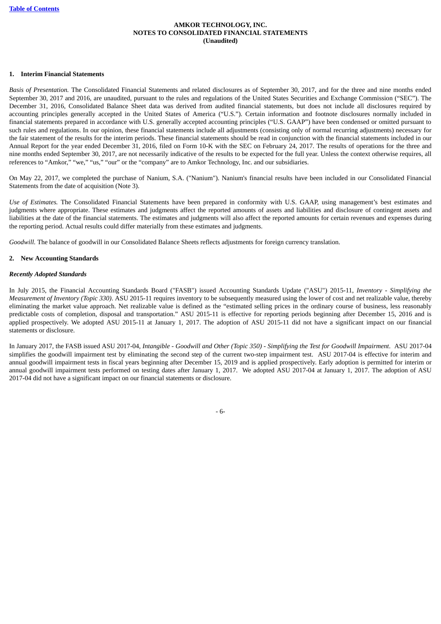#### <span id="page-6-0"></span>**1. Interim Financial Statements**

*Basis of Presentation.* The Consolidated Financial Statements and related disclosures as of September 30, 2017, and for the three and nine months ended September 30, 2017 and 2016, are unaudited, pursuant to the rules and regulations of the United States Securities and Exchange Commission ("SEC"). The December 31, 2016, Consolidated Balance Sheet data was derived from audited financial statements, but does not include all disclosures required by accounting principles generally accepted in the United States of America ("U.S."). Certain information and footnote disclosures normally included in financial statements prepared in accordance with U.S. generally accepted accounting principles ("U.S. GAAP") have been condensed or omitted pursuant to such rules and regulations. In our opinion, these financial statements include all adjustments (consisting only of normal recurring adjustments) necessary for the fair statement of the results for the interim periods. These financial statements should be read in conjunction with the financial statements included in our Annual Report for the year ended December 31, 2016, filed on Form 10-K with the SEC on February 24, 2017. The results of operations for the three and nine months ended September 30, 2017, are not necessarily indicative of the results to be expected for the full year. Unless the context otherwise requires, all references to "Amkor," "we," "us," "our" or the "company" are to Amkor Technology, Inc. and our subsidiaries.

On May 22, 2017, we completed the purchase of Nanium, S.A. ("Nanium"). Nanium's financial results have been included in our Consolidated Financial Statements from the date of acquisition (Note 3).

*Use of Estimates.* The Consolidated Financial Statements have been prepared in conformity with U.S. GAAP, using management's best estimates and judgments where appropriate. These estimates and judgments affect the reported amounts of assets and liabilities and disclosure of contingent assets and liabilities at the date of the financial statements. The estimates and judgments will also affect the reported amounts for certain revenues and expenses during the reporting period. Actual results could differ materially from these estimates and judgments.

*Goodwill.* The balance of goodwill in our Consolidated Balance Sheets reflects adjustments for foreign currency translation.

## **2. New Accounting Standards**

## *Recently Adopted Standards*

In July 2015, the Financial Accounting Standards Board ("FASB") issued Accounting Standards Update ("ASU") 2015-11, *Inventory - Simplifying the Measurement of Inventory (Topic 330)*. ASU 2015-11 requires inventory to be subsequently measured using the lower of cost and net realizable value, thereby eliminating the market value approach. Net realizable value is defined as the "estimated selling prices in the ordinary course of business, less reasonably predictable costs of completion, disposal and transportation." ASU 2015-11 is effective for reporting periods beginning after December 15, 2016 and is applied prospectively. We adopted ASU 2015-11 at January 1, 2017. The adoption of ASU 2015-11 did not have a significant impact on our financial statements or disclosure.

In January 2017, the FASB issued ASU 2017-04, Intangible - Goodwill and Other (Topic 350) - Simplifying the Test for Goodwill Impairment. ASU 2017-04 simplifies the goodwill impairment test by eliminating the second step of the current two-step impairment test. ASU 2017-04 is effective for interim and annual goodwill impairment tests in fiscal years beginning after December 15, 2019 and is applied prospectively. Early adoption is permitted for interim or annual goodwill impairment tests performed on testing dates after January 1, 2017. We adopted ASU 2017-04 at January 1, 2017. The adoption of ASU 2017-04 did not have a significant impact on our financial statements or disclosure.

- 6-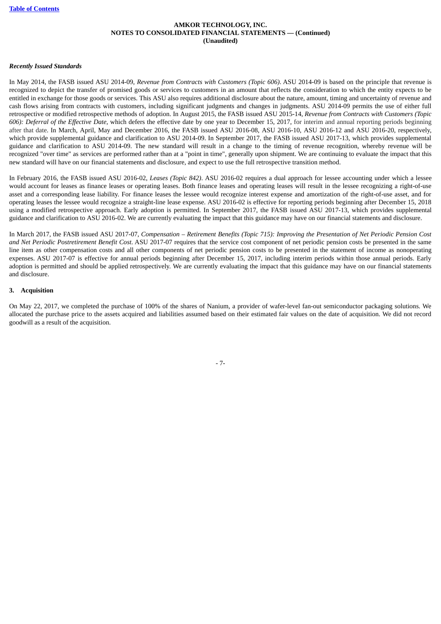#### *Recently Issued Standards*

In May 2014, the FASB issued ASU 2014-09, *Revenue from Contracts with Customers (Topic 606)*. ASU 2014-09 is based on the principle that revenue is recognized to depict the transfer of promised goods or services to customers in an amount that reflects the consideration to which the entity expects to be entitled in exchange for those goods or services. This ASU also requires additional disclosure about the nature, amount, timing and uncertainty of revenue and cash flows arising from contracts with customers, including significant judgments and changes in judgments. ASU 2014-09 permits the use of either full retrospective or modified retrospective methods of adoption. In August 2015, the FASB issued ASU 2015-14, *Revenue from Contracts with Customers (Topic 606): Deferral of the Effective Date*, which defers the effective date by one year to December 15, 2017, for interim and annual reporting periods beginning after that date. In March, April, May and December 2016, the FASB issued ASU 2016-08, ASU 2016-10, ASU 2016-12 and ASU 2016-20, respectively, which provide supplemental guidance and clarification to ASU 2014-09. In September 2017, the FASB issued ASU 2017-13, which provides supplemental guidance and clarification to ASU 2014-09. The new standard will result in a change to the timing of revenue recognition, whereby revenue will be recognized "over time" as services are performed rather than at a "point in time", generally upon shipment. We are continuing to evaluate the impact that this new standard will have on our financial statements and disclosure, and expect to use the full retrospective transition method.

In February 2016, the FASB issued ASU 2016-02, *Leases (Topic 842)*. ASU 2016-02 requires a dual approach for lessee accounting under which a lessee would account for leases as finance leases or operating leases. Both finance leases and operating leases will result in the lessee recognizing a right-of-use asset and a corresponding lease liability. For finance leases the lessee would recognize interest expense and amortization of the right-of-use asset, and for operating leases the lessee would recognize a straight-line lease expense. ASU 2016-02 is effective for reporting periods beginning after December 15, 2018 using a modified retrospective approach. Early adoption is permitted. In September 2017, the FASB issued ASU 2017-13, which provides supplemental guidance and clarification to ASU 2016-02. We are currently evaluating the impact that this guidance may have on our financial statements and disclosure.

In March 2017, the FASB issued ASU 2017-07, Compensation - Retirement Benefits (Topic 715): Improving the Presentation of Net Periodic Pension Cost *and Net Periodic Postretirement Benefit Cost*. ASU 2017-07 requires that the service cost component of net periodic pension costs be presented in the same line item as other compensation costs and all other components of net periodic pension costs to be presented in the statement of income as nonoperating expenses. ASU 2017-07 is effective for annual periods beginning after December 15, 2017, including interim periods within those annual periods. Early adoption is permitted and should be applied retrospectively. We are currently evaluating the impact that this guidance may have on our financial statements and disclosure.

## **3. Acquisition**

On May 22, 2017, we completed the purchase of 100% of the shares of Nanium, a provider of wafer-level fan-out semiconductor packaging solutions. We allocated the purchase price to the assets acquired and liabilities assumed based on their estimated fair values on the date of acquisition. We did not record goodwill as a result of the acquisition.

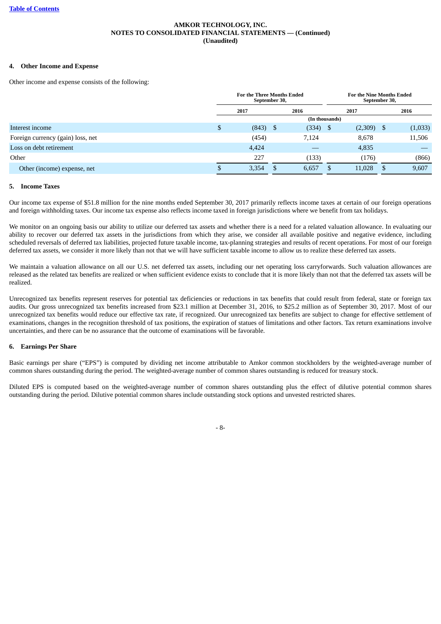#### **4. Other Income and Expense**

Other income and expense consists of the following:

|                                   | <b>For the Three Months Ended</b><br>September 30, |    |                |      | <b>For the Nine Months Ended</b><br>September 30, |      |         |
|-----------------------------------|----------------------------------------------------|----|----------------|------|---------------------------------------------------|------|---------|
|                                   | 2017                                               |    | 2016           |      | 2017                                              |      | 2016    |
|                                   |                                                    |    | (In thousands) |      |                                                   |      |         |
| Interest income                   | \$<br>(843)                                        | -5 | (334)          | - \$ | (2,309)                                           | - \$ | (1,033) |
| Foreign currency (gain) loss, net | (454)                                              |    | 7,124          |      | 8,678                                             |      | 11,506  |
| Loss on debt retirement           | 4,424                                              |    |                |      | 4,835                                             |      |         |
| Other                             | 227                                                |    | (133)          |      | (176)                                             |      | (866)   |
| Other (income) expense, net       | 3,354                                              | S  | 6,657          |      | 11,028                                            | S    | 9,607   |

#### **5. Income Taxes**

Our income tax expense of \$51.8 million for the nine months ended September 30, 2017 primarily reflects income taxes at certain of our foreign operations and foreign withholding taxes. Our income tax expense also reflects income taxed in foreign jurisdictions where we benefit from tax holidays.

We monitor on an ongoing basis our ability to utilize our deferred tax assets and whether there is a need for a related valuation allowance. In evaluating our ability to recover our deferred tax assets in the jurisdictions from which they arise, we consider all available positive and negative evidence, including scheduled reversals of deferred tax liabilities, projected future taxable income, tax-planning strategies and results of recent operations. For most of our foreign deferred tax assets, we consider it more likely than not that we will have sufficient taxable income to allow us to realize these deferred tax assets.

We maintain a valuation allowance on all our U.S. net deferred tax assets, including our net operating loss carryforwards. Such valuation allowances are released as the related tax benefits are realized or when sufficient evidence exists to conclude that it is more likely than not that the deferred tax assets will be realized.

Unrecognized tax benefits represent reserves for potential tax deficiencies or reductions in tax benefits that could result from federal, state or foreign tax audits. Our gross unrecognized tax benefits increased from \$23.1 million at December 31, 2016, to \$25.2 million as of September 30, 2017. Most of our unrecognized tax benefits would reduce our effective tax rate, if recognized. Our unrecognized tax benefits are subject to change for effective settlement of examinations, changes in the recognition threshold of tax positions, the expiration of statues of limitations and other factors. Tax return examinations involve uncertainties, and there can be no assurance that the outcome of examinations will be favorable.

## **6. Earnings Per Share**

Basic earnings per share ("EPS") is computed by dividing net income attributable to Amkor common stockholders by the weighted-average number of common shares outstanding during the period. The weighted-average number of common shares outstanding is reduced for treasury stock.

Diluted EPS is computed based on the weighted-average number of common shares outstanding plus the effect of dilutive potential common shares outstanding during the period. Dilutive potential common shares include outstanding stock options and unvested restricted shares.

- 8-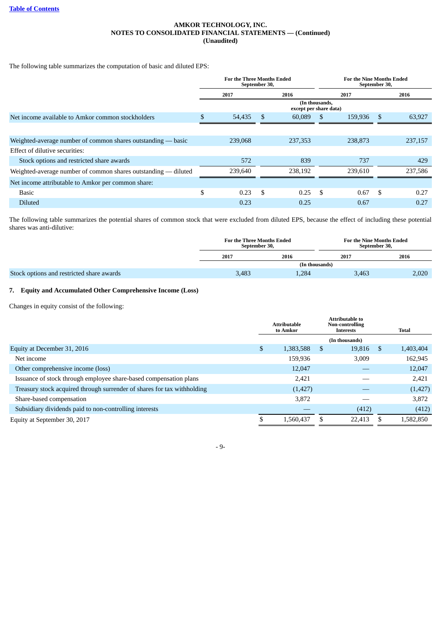The following table summarizes the computation of basic and diluted EPS:

|                                                                |     | <b>For the Three Months Ended</b><br>September 30, |    |                                          |               | For the Nine Months Ended<br>September 30, |      |         |
|----------------------------------------------------------------|-----|----------------------------------------------------|----|------------------------------------------|---------------|--------------------------------------------|------|---------|
|                                                                |     | 2017                                               |    | 2016                                     |               | 2017                                       |      | 2016    |
|                                                                |     |                                                    |    | (In thousands,<br>except per share data) |               |                                            |      |         |
| Net income available to Amkor common stockholders              | \$. | 54,435                                             | -8 | 60,089                                   | -S            | 159,936                                    | - \$ | 63,927  |
|                                                                |     |                                                    |    |                                          |               |                                            |      |         |
| Weighted-average number of common shares outstanding — basic   |     | 239,068                                            |    | 237,353                                  |               | 238,873                                    |      | 237,157 |
| Effect of dilutive securities:                                 |     |                                                    |    |                                          |               |                                            |      |         |
| Stock options and restricted share awards                      |     | 572                                                |    | 839                                      |               | 737                                        |      | 429     |
| Weighted-average number of common shares outstanding — diluted |     | 239,640                                            |    | 238,192                                  |               | 239,610                                    |      | 237,586 |
| Net income attributable to Amkor per common share:             |     |                                                    |    |                                          |               |                                            |      |         |
| <b>Basic</b>                                                   | \$  | 0.23                                               | \$ | 0.25                                     | <sup>\$</sup> | 0.67                                       | - \$ | 0.27    |
| <b>Diluted</b>                                                 |     | 0.23                                               |    | 0.25                                     |               | 0.67                                       |      | 0.27    |

The following table summarizes the potential shares of common stock that were excluded from diluted EPS, because the effect of including these potential shares was anti-dilutive:

|                                           | <b>For the Three Months Ended</b><br>September 30, |                | <b>For the Nine Months Ended</b><br>September 30, |       |
|-------------------------------------------|----------------------------------------------------|----------------|---------------------------------------------------|-------|
|                                           | 2017                                               | 2016           | 2017                                              | 2016  |
|                                           |                                                    | (In thousands) |                                                   |       |
| Stock options and restricted share awards | 3,483                                              | 1,284          | 3,463                                             | 2,020 |

# **7. Equity and Accumulated Other Comprehensive Income (Loss)**

Changes in equity consist of the following:

|                                                                         | <b>Attributable</b><br>to Amkor |   | <b>Attributable to</b><br><b>Non-controlling</b><br>Interests |      | Total     |
|-------------------------------------------------------------------------|---------------------------------|---|---------------------------------------------------------------|------|-----------|
|                                                                         |                                 |   | (In thousands)                                                |      |           |
| Equity at December 31, 2016                                             | \$<br>1,383,588                 | S | 19,816                                                        | - \$ | 1,403,404 |
| Net income                                                              | 159.936                         |   | 3,009                                                         |      | 162,945   |
| Other comprehensive income (loss)                                       | 12,047                          |   |                                                               |      | 12,047    |
| Issuance of stock through employee share-based compensation plans       | 2,421                           |   |                                                               |      | 2,421     |
| Treasury stock acquired through surrender of shares for tax withholding | (1, 427)                        |   |                                                               |      | (1, 427)  |
| Share-based compensation                                                | 3,872                           |   |                                                               |      | 3,872     |
| Subsidiary dividends paid to non-controlling interests                  |                                 |   | (412)                                                         |      | (412)     |
| Equity at September 30, 2017                                            | 1,560,437                       |   | 22,413                                                        | -S   | 1,582,850 |

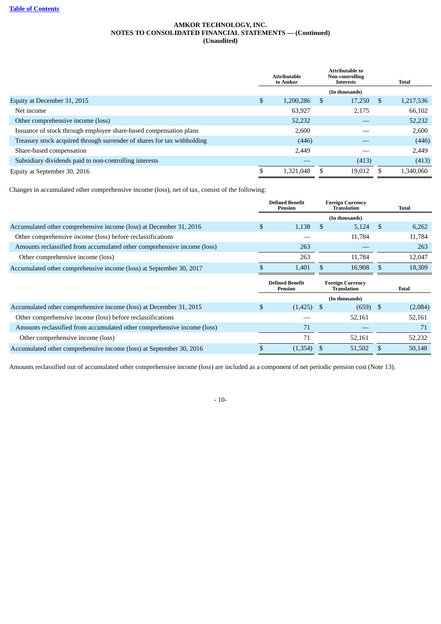|                                                                         |    | <b>Attributable</b><br>to Amkor | <b>Attributable to</b><br><b>Non-controlling</b><br><b>Interests</b> | <b>Total</b> |
|-------------------------------------------------------------------------|----|---------------------------------|----------------------------------------------------------------------|--------------|
|                                                                         |    |                                 | (In thousands)                                                       |              |
| Equity at December 31, 2015                                             | \$ | 1,200,286                       | \$<br>17,250<br>- \$                                                 | 1,217,536    |
| Net income                                                              |    | 63,927                          | 2,175                                                                | 66,102       |
| Other comprehensive income (loss)                                       |    | 52,232                          |                                                                      | 52,232       |
| Issuance of stock through employee share-based compensation plans       |    | 2,600                           |                                                                      | 2,600        |
| Treasury stock acquired through surrender of shares for tax withholding |    | (446)                           |                                                                      | (446)        |
| Share-based compensation                                                |    | 2,449                           |                                                                      | 2,449        |
| Subsidiary dividends paid to non-controlling interests                  |    |                                 | (413)                                                                | (413)        |
| Equity at September 30, 2016                                            | S  | 1,321,048                       | 19,012                                                               | 1.340.060    |

Changes in accumulated other comprehensive income (loss), net of tax, consist of the following:

|                                                                         | <b>Defined Benefit</b><br><b>Pension</b> |    | <b>Foreign Currency</b><br><b>Translation</b> |      | Total        |
|-------------------------------------------------------------------------|------------------------------------------|----|-----------------------------------------------|------|--------------|
|                                                                         |                                          |    | (In thousands)                                |      |              |
| Accumulated other comprehensive income (loss) at December 31, 2016      | \$<br>1,138                              | S  | 5,124                                         | -S   | 6,262        |
| Other comprehensive income (loss) before reclassifications              |                                          |    | 11,784                                        |      | 11,784       |
| Amounts reclassified from accumulated other comprehensive income (loss) | 263                                      |    |                                               |      | 263          |
| Other comprehensive income (loss)                                       | 263                                      |    | 11,784                                        |      | 12,047       |
| Accumulated other comprehensive income (loss) at September 30, 2017     | 1,401                                    |    | 16,908                                        |      | 18,309       |
|                                                                         |                                          |    |                                               |      |              |
|                                                                         | <b>Defined Benefit</b><br>Pension        |    | <b>Foreign Currency</b><br><b>Translation</b> |      | <b>Total</b> |
|                                                                         |                                          |    | (In thousands)                                |      |              |
| Accumulated other comprehensive income (loss) at December 31, 2015      | \$<br>(1, 425)                           | -S | (659)                                         | - \$ | (2,084)      |
| Other comprehensive income (loss) before reclassifications              |                                          |    | 52,161                                        |      | 52,161       |
| Amounts reclassified from accumulated other comprehensive income (loss) | 71                                       |    |                                               |      | 71           |
| Other comprehensive income (loss)                                       | 71                                       |    | 52,161                                        |      | 52,232       |

Amounts reclassified out of accumulated other comprehensive income (loss) are included as a component of net periodic pension cost (Note 13).

## - 10-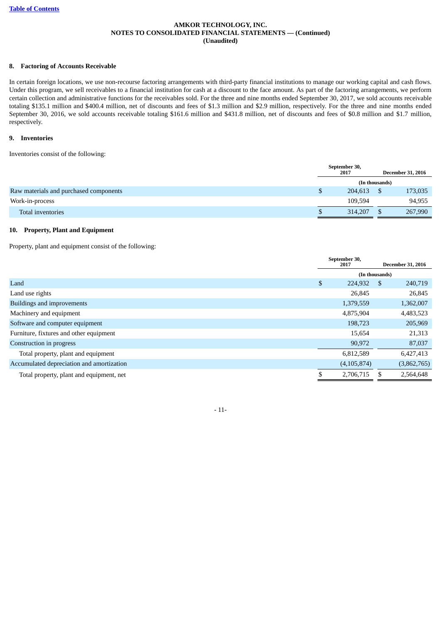#### **8. Factoring of Accounts Receivable**

In certain foreign locations, we use non-recourse factoring arrangements with third-party financial institutions to manage our working capital and cash flows. Under this program, we sell receivables to a financial institution for cash at a discount to the face amount. As part of the factoring arrangements, we perform certain collection and administrative functions for the receivables sold. For the three and nine months ended September 30, 2017, we sold accounts receivable totaling \$135.1 million and \$400.4 million, net of discounts and fees of \$1.3 million and \$2.9 million, respectively. For the three and nine months ended September 30, 2016, we sold accounts receivable totaling \$161.6 million and \$431.8 million, net of discounts and fees of \$0.8 million and \$1.7 million, respectively.

#### **9. Inventories**

Inventories consist of the following:

| 2017    | <b>December 31, 2016</b> |                        |
|---------|--------------------------|------------------------|
|         |                          |                        |
| 204.613 |                          | 173,035                |
| 109.594 |                          | 94,955                 |
| 314,207 |                          | 267,990                |
|         | September 30,            | (In thousands)<br>- \$ |

## **10. Property, Plant and Equipment**

Property, plant and equipment consist of the following:

|                                           | September 30,<br>2017 | <b>December 31, 2016</b> |
|-------------------------------------------|-----------------------|--------------------------|
|                                           | (In thousands)        |                          |
| Land                                      | \$<br>224,932         | \$<br>240,719            |
| Land use rights                           | 26,845                | 26,845                   |
| <b>Buildings and improvements</b>         | 1,379,559             | 1,362,007                |
| Machinery and equipment                   | 4,875,904             | 4,483,523                |
| Software and computer equipment           | 198,723               | 205,969                  |
| Furniture, fixtures and other equipment   | 15,654                | 21,313                   |
| Construction in progress                  | 90,972                | 87,037                   |
| Total property, plant and equipment       | 6,812,589             | 6,427,413                |
| Accumulated depreciation and amortization | (4, 105, 874)         | (3,862,765)              |
| Total property, plant and equipment, net  | \$<br>2,706,715       | 2,564,648                |

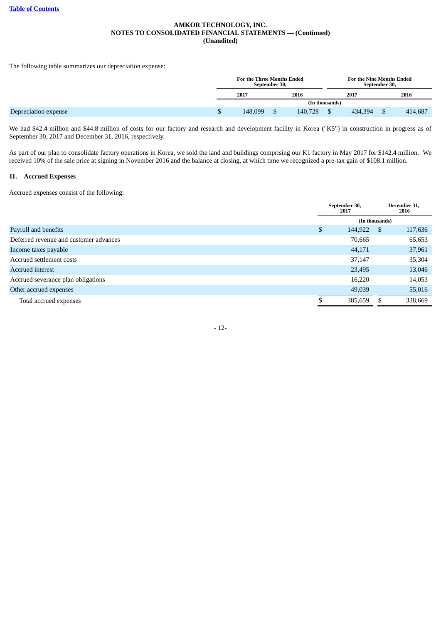The following table summarizes our depreciation expense:

|                      | <b>For the Three Months Ended</b><br>September 30, |      |         |                | <b>For the Nine Months Ended</b><br>September 30, |      |         |
|----------------------|----------------------------------------------------|------|---------|----------------|---------------------------------------------------|------|---------|
|                      | 2017                                               | 2016 |         | 2017           |                                                   | 2016 |         |
|                      |                                                    |      |         | (In thousands) |                                                   |      |         |
| Depreciation expense | 148,099                                            |      | 140,728 |                | 434,394                                           |      | 414,687 |

We had \$42.4 million and \$44.8 million of costs for our factory and research and development facility in Korea ("K5") in construction in progress as of September 30, 2017 and December 31, 2016, respectively.

As part of our plan to consolidate factory operations in Korea, we sold the land and buildings comprising our K1 factory in May 2017 for \$142.4 million. We received 10% of the sale price at signing in November 2016 and the balance at closing, at which time we recognized a pre-tax gain of \$108.1 million.

### **11. Accrued Expenses**

Accrued expenses consist of the following:

|                                        | September 30,<br>2017 |                | December 31,<br>2016 |
|----------------------------------------|-----------------------|----------------|----------------------|
|                                        |                       | (In thousands) |                      |
| Payroll and benefits                   | \$<br>144,922         | - \$           | 117,636              |
| Deferred revenue and customer advances | 70,665                |                | 65,653               |
| Income taxes payable                   | 44,171                |                | 37,961               |
| Accrued settlement costs               | 37,147                |                | 35,304               |
| Accrued interest                       | 23,495                |                | 13,046               |
| Accrued severance plan obligations     | 16,220                |                | 14,053               |
| Other accrued expenses                 | 49,039                |                | 55,016               |
| Total accrued expenses                 | 385,659               | S              | 338,669              |

- 12-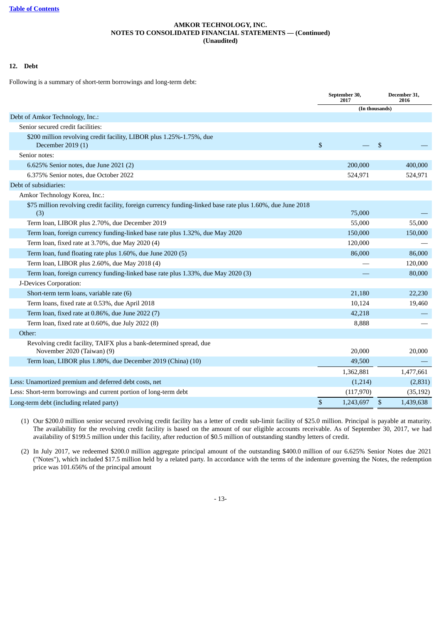## **12. Debt**

Following is a summary of short-term borrowings and long-term debt:

|                                                                                                                    | September 30,<br>2017 |                | December 31,<br>2016 |
|--------------------------------------------------------------------------------------------------------------------|-----------------------|----------------|----------------------|
|                                                                                                                    | (In thousands)        |                |                      |
| Debt of Amkor Technology, Inc.:                                                                                    |                       |                |                      |
| Senior secured credit facilities:                                                                                  |                       |                |                      |
| \$200 million revolving credit facility, LIBOR plus 1.25%-1.75%, due<br>December 2019 (1)                          | \$                    | \$             |                      |
| Senior notes:                                                                                                      |                       |                |                      |
| 6.625% Senior notes, due June 2021 (2)                                                                             | 200,000               |                | 400,000              |
| 6.375% Senior notes, due October 2022                                                                              | 524,971               |                | 524,971              |
| Debt of subsidiaries:                                                                                              |                       |                |                      |
| Amkor Technology Korea, Inc.:                                                                                      |                       |                |                      |
| \$75 million revolving credit facility, foreign currency funding-linked base rate plus 1.60%, due June 2018<br>(3) | 75,000                |                |                      |
| Term loan, LIBOR plus 2.70%, due December 2019                                                                     | 55,000                |                | 55,000               |
| Term loan, foreign currency funding-linked base rate plus 1.32%, due May 2020                                      | 150,000               |                | 150,000              |
| Term loan, fixed rate at 3.70%, due May 2020 (4)                                                                   | 120,000               |                |                      |
| Term loan, fund floating rate plus 1.60%, due June 2020 (5)                                                        | 86,000                |                | 86,000               |
| Term loan, LIBOR plus 2.60%, due May 2018 (4)                                                                      |                       |                | 120,000              |
| Term loan, foreign currency funding-linked base rate plus 1.33%, due May 2020 (3)                                  |                       |                | 80,000               |
| J-Devices Corporation:                                                                                             |                       |                |                      |
| Short-term term loans, variable rate (6)                                                                           | 21,180                |                | 22,230               |
| Term loans, fixed rate at 0.53%, due April 2018                                                                    | 10,124                |                | 19,460               |
| Term loan, fixed rate at 0.86%, due June 2022 (7)                                                                  | 42,218                |                |                      |
| Term loan, fixed rate at 0.60%, due July 2022 (8)                                                                  | 8,888                 |                |                      |
| Other:                                                                                                             |                       |                |                      |
| Revolving credit facility, TAIFX plus a bank-determined spread, due<br>November 2020 (Taiwan) (9)                  | 20,000                |                | 20,000               |
| Term loan, LIBOR plus 1.80%, due December 2019 (China) (10)                                                        | 49,500                |                |                      |
|                                                                                                                    | 1,362,881             |                | 1,477,661            |
| Less: Unamortized premium and deferred debt costs, net                                                             | (1,214)               |                | (2, 831)             |
| Less: Short-term borrowings and current portion of long-term debt                                                  | (117,970)             |                | (35, 192)            |
| Long-term debt (including related party)                                                                           | \$<br>1,243,697       | $\mathfrak{s}$ | 1,439,638            |

(1) Our \$200.0 million senior secured revolving credit facility has a letter of credit sub-limit facility of \$25.0 million. Principal is payable at maturity. The availability for the revolving credit facility is based on the amount of our eligible accounts receivable. As of September 30, 2017, we had availability of \$199.5 million under this facility, after reduction of \$0.5 million of outstanding standby letters of credit.

(2) In July 2017, we redeemed \$200.0 million aggregate principal amount of the outstanding \$400.0 million of our 6.625% Senior Notes due 2021 ("Notes"), which included \$17.5 million held by a related party. In accordance with the terms of the indenture governing the Notes, the redemption price was 101.656% of the principal amount

- 13-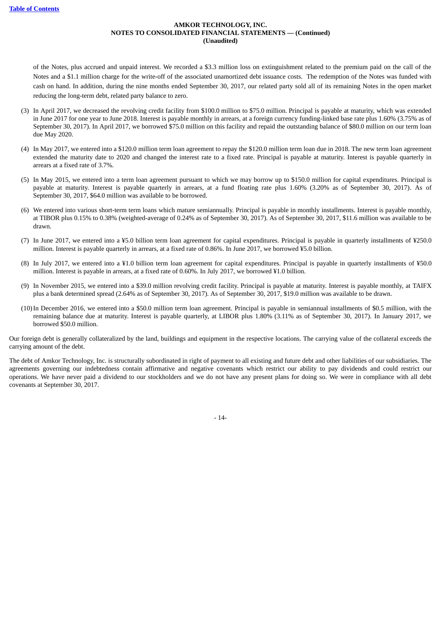of the Notes, plus accrued and unpaid interest. We recorded a \$3.3 million loss on extinguishment related to the premium paid on the call of the Notes and a \$1.1 million charge for the write-off of the associated unamortized debt issuance costs. The redemption of the Notes was funded with cash on hand. In addition, during the nine months ended September 30, 2017, our related party sold all of its remaining Notes in the open market reducing the long-term debt, related party balance to zero.

- (3) In April 2017, we decreased the revolving credit facility from \$100.0 million to \$75.0 million. Principal is payable at maturity, which was extended in June 2017 for one year to June 2018. Interest is payable monthly in arrears, at a foreign currency funding-linked base rate plus 1.60% (3.75% as of September 30, 2017). In April 2017, we borrowed \$75.0 million on this facility and repaid the outstanding balance of \$80.0 million on our term loan due May 2020.
- (4) In May 2017, we entered into a \$120.0 million term loan agreement to repay the \$120.0 million term loan due in 2018. The new term loan agreement extended the maturity date to 2020 and changed the interest rate to a fixed rate. Principal is payable at maturity. Interest is payable quarterly in arrears at a fixed rate of 3.7%.
- (5) In May 2015, we entered into a term loan agreement pursuant to which we may borrow up to \$150.0 million for capital expenditures. Principal is payable at maturity. Interest is payable quarterly in arrears, at a fund floating rate plus 1.60% (3.20% as of September 30, 2017). As of September 30, 2017, \$64.0 million was available to be borrowed.
- (6) We entered into various short-term term loans which mature semiannually. Principal is payable in monthly installments. Interest is payable monthly, at TIBOR plus 0.15% to 0.38% (weighted-average of 0.24% as of September 30, 2017). As of September 30, 2017, \$11.6 million was available to be drawn.
- (7) In June 2017, we entered into a ¥5.0 billion term loan agreement for capital expenditures. Principal is payable in quarterly installments of ¥250.0 million. Interest is payable quarterly in arrears, at a fixed rate of 0.86%. In June 2017, we borrowed ¥5.0 billion.
- (8) In July 2017, we entered into a ¥1.0 billion term loan agreement for capital expenditures. Principal is payable in quarterly installments of ¥50.0 million. Interest is payable in arrears, at a fixed rate of 0.60%. In July 2017, we borrowed ¥1.0 billion.
- (9) In November 2015, we entered into a \$39.0 million revolving credit facility. Principal is payable at maturity. Interest is payable monthly, at TAIFX plus a bank determined spread (2.64% as of September 30, 2017). As of September 30, 2017, \$19.0 million was available to be drawn.
- (10)In December 2016, we entered into a \$50.0 million term loan agreement. Principal is payable in semiannual installments of \$0.5 million, with the remaining balance due at maturity. Interest is payable quarterly, at LIBOR plus 1.80% (3.11% as of September 30, 2017). In January 2017, we borrowed \$50.0 million.

Our foreign debt is generally collateralized by the land, buildings and equipment in the respective locations. The carrying value of the collateral exceeds the carrying amount of the debt.

The debt of Amkor Technology, Inc. is structurally subordinated in right of payment to all existing and future debt and other liabilities of our subsidiaries. The agreements governing our indebtedness contain affirmative and negative covenants which restrict our ability to pay dividends and could restrict our operations. We have never paid a dividend to our stockholders and we do not have any present plans for doing so. We were in compliance with all debt covenants at September 30, 2017.

- 14-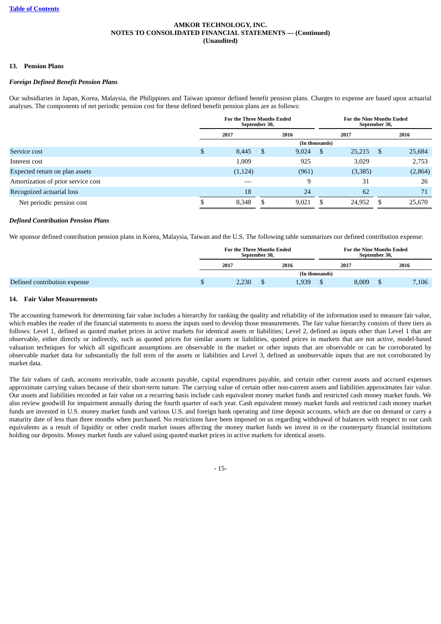#### **13. Pension Plans**

## *Foreign Defined Benefit Pension Plans*

Our subsidiaries in Japan, Korea, Malaysia, the Philippines and Taiwan sponsor defined benefit pension plans. Charges to expense are based upon actuarial analyses. The components of net periodic pension cost for these defined benefit pension plans are as follows:

|                                    | <b>For the Three Months Ended</b><br>September 30, |          |    |                |               | <b>For the Nine Months Ended</b><br>September 30, |     |         |  |  |
|------------------------------------|----------------------------------------------------|----------|----|----------------|---------------|---------------------------------------------------|-----|---------|--|--|
|                                    |                                                    | 2017     |    | 2016           | 2017          |                                                   |     | 2016    |  |  |
|                                    |                                                    |          |    | (In thousands) |               |                                                   |     |         |  |  |
| Service cost                       | \$                                                 | 8,445    | -S | 9,024          | <sup>\$</sup> | 25,215                                            | -\$ | 25,684  |  |  |
| Interest cost                      |                                                    | 1,009    |    | 925            |               | 3,029                                             |     | 2,753   |  |  |
| Expected return on plan assets     |                                                    | (1, 124) |    | (961)          |               | (3,385)                                           |     | (2,864) |  |  |
| Amortization of prior service cost |                                                    |          |    | 9              |               | 31                                                |     | 26      |  |  |
| Recognized actuarial loss          |                                                    | 18       |    | 24             |               | 62                                                |     | 71      |  |  |
| Net periodic pension cost          |                                                    | 8,348    |    | 9,021          | .S            | 24,952                                            | S   | 25,670  |  |  |

#### *Defined Contribution Pension Plans*

We sponsor defined contribution pension plans in Korea, Malaysia, Taiwan and the U.S. The following table summarizes our defined contribution expense:

|                              | <b>For the Three Months Ended</b><br>September 30, |       |                | For the Nine Months Ended<br>September 30, |      |       |  |
|------------------------------|----------------------------------------------------|-------|----------------|--------------------------------------------|------|-------|--|
|                              | 2017                                               | 2016  |                | 2017                                       | 2016 |       |  |
|                              |                                                    |       | (In thousands) |                                            |      |       |  |
| Defined contribution expense | 2.230                                              | 1,939 |                | 8,009                                      |      | 7,106 |  |

#### **14. Fair Value Measurements**

The accounting framework for determining fair value includes a hierarchy for ranking the quality and reliability of the information used to measure fair value, which enables the reader of the financial statements to assess the inputs used to develop those measurements. The fair value hierarchy consists of three tiers as follows: Level 1, defined as quoted market prices in active markets for identical assets or liabilities; Level 2, defined as inputs other than Level 1 that are observable, either directly or indirectly, such as quoted prices for similar assets or liabilities, quoted prices in markets that are not active, model-based valuation techniques for which all significant assumptions are observable in the market or other inputs that are observable or can be corroborated by observable market data for substantially the full term of the assets or liabilities and Level 3, defined as unobservable inputs that are not corroborated by market data.

The fair values of cash, accounts receivable, trade accounts payable, capital expenditures payable, and certain other current assets and accrued expenses approximate carrying values because of their short-term nature. The carrying value of certain other non-current assets and liabilities approximates fair value. Our assets and liabilities recorded at fair value on a recurring basis include cash equivalent money market funds and restricted cash money market funds. We also review goodwill for impairment annually during the fourth quarter of each year. Cash equivalent money market funds and restricted cash money market funds are invested in U.S. money market funds and various U.S. and foreign bank operating and time deposit accounts, which are due on demand or carry a maturity date of less than three months when purchased. No restrictions have been imposed on us regarding withdrawal of balances with respect to our cash equivalents as a result of liquidity or other credit market issues affecting the money market funds we invest in or the counterparty financial institutions holding our deposits. Money market funds are valued using quoted market prices in active markets for identical assets.

- 15-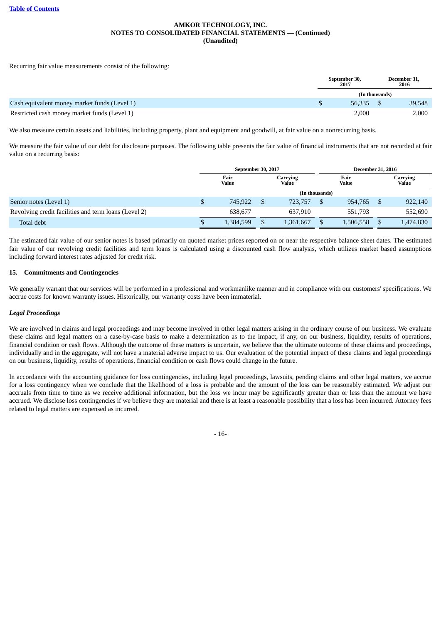Recurring fair value measurements consist of the following:

|                                              | September 30,<br>2017 | December 31,<br>2016 |
|----------------------------------------------|-----------------------|----------------------|
|                                              | (In thousands)        |                      |
| Cash equivalent money market funds (Level 1) | 56,335                | 39,548               |
| Restricted cash money market funds (Level 1) | 2,000                 | 2,000                |

We also measure certain assets and liabilities, including property, plant and equipment and goodwill, at fair value on a nonrecurring basis.

We measure the fair value of our debt for disclosure purposes. The following table presents the fair value of financial instruments that are not recorded at fair value on a recurring basis:

|                                                      |   | September 30, 2017 |  | <b>December 31, 2016</b> |               |           |  |                          |
|------------------------------------------------------|---|--------------------|--|--------------------------|---------------|-----------|--|--------------------------|
|                                                      |   | Fair<br>Value      |  | Carrying<br>Value        | Fair<br>Value |           |  | Carrying<br><b>Value</b> |
|                                                      |   |                    |  | (In thousands)           |               |           |  |                          |
| Senior notes (Level 1)                               | Φ | 745,922            |  | 723,757                  |               | 954,765   |  | 922,140                  |
| Revolving credit facilities and term loans (Level 2) |   | 638.677            |  | 637.910                  |               | 551,793   |  | 552,690                  |
| Total debt                                           |   | 1,384,599          |  | 1,361,667                |               | 1,506,558 |  | 1,474,830                |

The estimated fair value of our senior notes is based primarily on quoted market prices reported on or near the respective balance sheet dates. The estimated fair value of our revolving credit facilities and term loans is calculated using a discounted cash flow analysis, which utilizes market based assumptions including forward interest rates adjusted for credit risk.

## **15. Commitments and Contingencies**

We generally warrant that our services will be performed in a professional and workmanlike manner and in compliance with our customers' specifications. We accrue costs for known warranty issues. Historically, our warranty costs have been immaterial.

## *Legal Proceedings*

We are involved in claims and legal proceedings and may become involved in other legal matters arising in the ordinary course of our business. We evaluate these claims and legal matters on a case-by-case basis to make a determination as to the impact, if any, on our business, liquidity, results of operations, financial condition or cash flows. Although the outcome of these matters is uncertain, we believe that the ultimate outcome of these claims and proceedings, individually and in the aggregate, will not have a material adverse impact to us. Our evaluation of the potential impact of these claims and legal proceedings on our business, liquidity, results of operations, financial condition or cash flows could change in the future.

In accordance with the accounting guidance for loss contingencies, including legal proceedings, lawsuits, pending claims and other legal matters, we accrue for a loss contingency when we conclude that the likelihood of a loss is probable and the amount of the loss can be reasonably estimated. We adjust our accruals from time to time as we receive additional information, but the loss we incur may be significantly greater than or less than the amount we have accrued. We disclose loss contingencies if we believe they are material and there is at least a reasonable possibility that a loss has been incurred. Attorney fees related to legal matters are expensed as incurred.

- 16-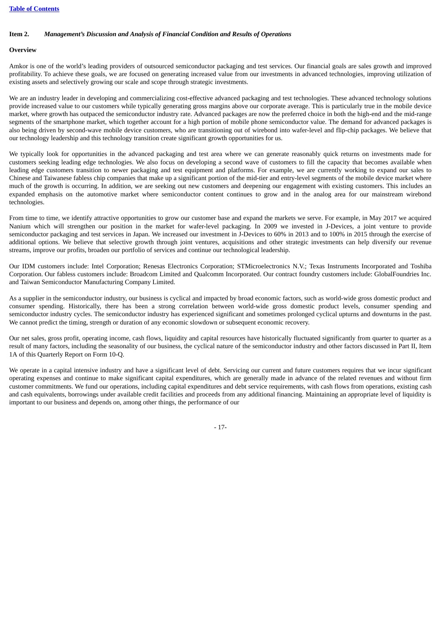#### <span id="page-17-0"></span>**Item 2.** *Management's Discussion and Analysis of Financial Condition and Results of Operations*

#### **Overview**

Amkor is one of the world's leading providers of outsourced semiconductor packaging and test services. Our financial goals are sales growth and improved profitability. To achieve these goals, we are focused on generating increased value from our investments in advanced technologies, improving utilization of existing assets and selectively growing our scale and scope through strategic investments.

We are an industry leader in developing and commercializing cost-effective advanced packaging and test technologies. These advanced technology solutions provide increased value to our customers while typically generating gross margins above our corporate average. This is particularly true in the mobile device market, where growth has outpaced the semiconductor industry rate. Advanced packages are now the preferred choice in both the high-end and the mid-range segments of the smartphone market, which together account for a high portion of mobile phone semiconductor value. The demand for advanced packages is also being driven by second-wave mobile device customers, who are transitioning out of wirebond into wafer-level and flip-chip packages. We believe that our technology leadership and this technology transition create significant growth opportunities for us.

We typically look for opportunities in the advanced packaging and test area where we can generate reasonably quick returns on investments made for customers seeking leading edge technologies. We also focus on developing a second wave of customers to fill the capacity that becomes available when leading edge customers transition to newer packaging and test equipment and platforms. For example, we are currently working to expand our sales to Chinese and Taiwanese fabless chip companies that make up a significant portion of the mid-tier and entry-level segments of the mobile device market where much of the growth is occurring. In addition, we are seeking out new customers and deepening our engagement with existing customers. This includes an expanded emphasis on the automotive market where semiconductor content continues to grow and in the analog area for our mainstream wirebond technologies.

From time to time, we identify attractive opportunities to grow our customer base and expand the markets we serve. For example, in May 2017 we acquired Nanium which will strengthen our position in the market for wafer-level packaging. In 2009 we invested in J-Devices, a joint venture to provide semiconductor packaging and test services in Japan. We increased our investment in J-Devices to 60% in 2013 and to 100% in 2015 through the exercise of additional options. We believe that selective growth through joint ventures, acquisitions and other strategic investments can help diversify our revenue streams, improve our profits, broaden our portfolio of services and continue our technological leadership.

Our IDM customers include: Intel Corporation; Renesas Electronics Corporation; STMicroelectronics N.V.; Texas Instruments Incorporated and Toshiba Corporation. Our fabless customers include: Broadcom Limited and Qualcomm Incorporated. Our contract foundry customers include: GlobalFoundries Inc. and Taiwan Semiconductor Manufacturing Company Limited.

As a supplier in the semiconductor industry, our business is cyclical and impacted by broad economic factors, such as world-wide gross domestic product and consumer spending. Historically, there has been a strong correlation between world-wide gross domestic product levels, consumer spending and semiconductor industry cycles. The semiconductor industry has experienced significant and sometimes prolonged cyclical upturns and downturns in the past. We cannot predict the timing, strength or duration of any economic slowdown or subsequent economic recovery.

Our net sales, gross profit, operating income, cash flows, liquidity and capital resources have historically fluctuated significantly from quarter to quarter as a result of many factors, including the seasonality of our business, the cyclical nature of the semiconductor industry and other factors discussed in Part II, Item 1A of this Quarterly Report on Form 10-Q.

We operate in a capital intensive industry and have a significant level of debt. Servicing our current and future customers requires that we incur significant operating expenses and continue to make significant capital expenditures, which are generally made in advance of the related revenues and without firm customer commitments. We fund our operations, including capital expenditures and debt service requirements, with cash flows from operations, existing cash and cash equivalents, borrowings under available credit facilities and proceeds from any additional financing. Maintaining an appropriate level of liquidity is important to our business and depends on, among other things, the performance of our

- 17-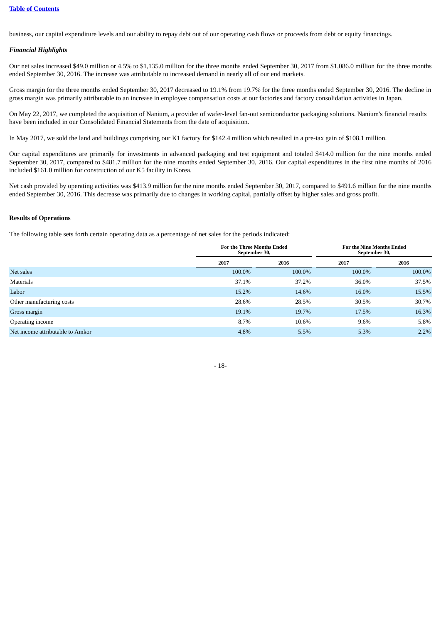business, our capital expenditure levels and our ability to repay debt out of our operating cash flows or proceeds from debt or equity financings.

#### *Financial Highlights*

Our net sales increased \$49.0 million or 4.5% to \$1,135.0 million for the three months ended September 30, 2017 from \$1,086.0 million for the three months ended September 30, 2016. The increase was attributable to increased demand in nearly all of our end markets.

Gross margin for the three months ended September 30, 2017 decreased to 19.1% from 19.7% for the three months ended September 30, 2016. The decline in gross margin was primarily attributable to an increase in employee compensation costs at our factories and factory consolidation activities in Japan.

On May 22, 2017, we completed the acquisition of Nanium, a provider of wafer-level fan-out semiconductor packaging solutions. Nanium's financial results have been included in our Consolidated Financial Statements from the date of acquisition.

In May 2017, we sold the land and buildings comprising our K1 factory for \$142.4 million which resulted in a pre-tax gain of \$108.1 million.

Our capital expenditures are primarily for investments in advanced packaging and test equipment and totaled \$414.0 million for the nine months ended September 30, 2017, compared to \$481.7 million for the nine months ended September 30, 2016. Our capital expenditures in the first nine months of 2016 included \$161.0 million for construction of our K5 facility in Korea.

Net cash provided by operating activities was \$413.9 million for the nine months ended September 30, 2017, compared to \$491.6 million for the nine months ended September 30, 2016. This decrease was primarily due to changes in working capital, partially offset by higher sales and gross profit.

#### **Results of Operations**

The following table sets forth certain operating data as a percentage of net sales for the periods indicated:

|                                  | <b>For the Three Months Ended</b><br>September 30, |        | <b>For the Nine Months Ended</b><br>September 30, |        |
|----------------------------------|----------------------------------------------------|--------|---------------------------------------------------|--------|
|                                  | 2017                                               | 2016   | 2017                                              | 2016   |
| Net sales                        | 100.0%                                             | 100.0% | 100.0%                                            | 100.0% |
| Materials                        | 37.1%                                              | 37.2%  | 36.0%                                             | 37.5%  |
| Labor                            | 15.2%                                              | 14.6%  | 16.0%                                             | 15.5%  |
| Other manufacturing costs        | 28.6%                                              | 28.5%  | 30.5%                                             | 30.7%  |
| Gross margin                     | 19.1%                                              | 19.7%  | 17.5%                                             | 16.3%  |
| Operating income                 | 8.7%                                               | 10.6%  | 9.6%                                              | 5.8%   |
| Net income attributable to Amkor | 4.8%                                               | 5.5%   | 5.3%                                              | 2.2%   |

- 18-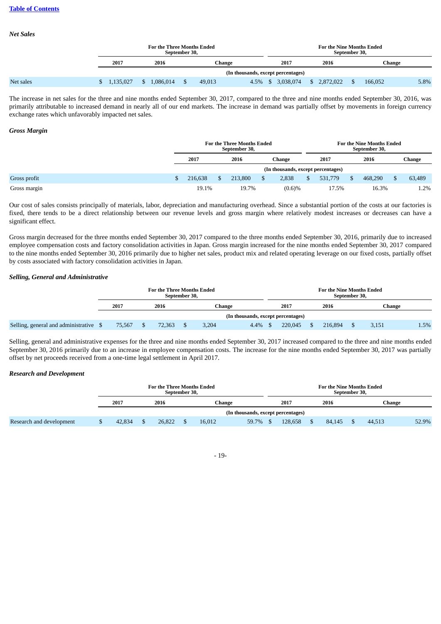#### *Net Sales*

|           | <b>For the Three Months Ended</b><br>September 30, |  |                |  |        |                                    |  |           |     | <b>For the Nine Months Ended</b> | September 30, |         |      |
|-----------|----------------------------------------------------|--|----------------|--|--------|------------------------------------|--|-----------|-----|----------------------------------|---------------|---------|------|
|           | 2017                                               |  | 2016<br>Change |  |        | 2017                               |  | 2016      |     | Change                           |               |         |      |
|           |                                                    |  |                |  |        | (In thousands, except percentages) |  |           |     |                                  |               |         |      |
| Net sales | 1,135,027                                          |  | 1,086,014      |  | 49,013 | 4.5%                               |  | 3.038.074 | \$. | 2,872,022                        |               | 166,052 | 5.8% |

The increase in net sales for the three and nine months ended September 30, 2017, compared to the three and nine months ended September 30, 2016, was primarily attributable to increased demand in nearly all of our end markets. The increase in demand was partially offset by movements in foreign currency exchange rates which unfavorably impacted net sales.

#### *Gross Margin*

|              | <b>For the Three Months Ended</b><br>September 30, |                |         |  |        |      | <b>For the Nine Months Ended</b><br>September 30, |      |         |        |        |  |
|--------------|----------------------------------------------------|----------------|---------|--|--------|------|---------------------------------------------------|------|---------|--------|--------|--|
|              | 2017                                               | 2016<br>Change |         |  |        | 2017 |                                                   | 2016 |         | Change |        |  |
|              |                                                    |                |         |  |        |      | (In thousands, except percentages)                |      |         |        |        |  |
| Gross profit | 216,638                                            |                | 213,800 |  | 2,838  |      | 531,779                                           |      | 468,290 |        | 63,489 |  |
| Gross margin | 19.1%                                              |                | 19.7%   |  | (0.6)% |      | 17.5%                                             |      | 16.3%   |        | 1.2%   |  |

Our cost of sales consists principally of materials, labor, depreciation and manufacturing overhead. Since a substantial portion of the costs at our factories is fixed, there tends to be a direct relationship between our revenue levels and gross margin where relatively modest increases or decreases can have a significant effect.

Gross margin decreased for the three months ended September 30, 2017 compared to the three months ended September 30, 2016, primarily due to increased employee compensation costs and factory consolidation activities in Japan. Gross margin increased for the nine months ended September 30, 2017 compared to the nine months ended September 30, 2016 primarily due to higher net sales, product mix and related operating leverage on our fixed costs, partially offset by costs associated with factory consolidation activities in Japan.

## *Selling, General and Administrative*

|                                        | <b>For the Three Months Ended</b><br>September 30, |        |  |        |  |        |                                    | <b>For the Nine Months Ended</b><br>September 30, |         |  |         |        |       |      |  |
|----------------------------------------|----------------------------------------------------|--------|--|--------|--|--------|------------------------------------|---------------------------------------------------|---------|--|---------|--------|-------|------|--|
|                                        |                                                    | 2017   |  | 2016   |  | :hange |                                    | 2017<br>2016                                      |         |  |         | Change |       |      |  |
|                                        |                                                    |        |  |        |  |        | (In thousands, except percentages) |                                                   |         |  |         |        |       |      |  |
| Selling, general and administrative \$ |                                                    | 75.567 |  | 72,363 |  | 3,204  | $4.4\%$                            |                                                   | 220,045 |  | 216.894 |        | 3,151 | 1.5% |  |

Selling, general and administrative expenses for the three and nine months ended September 30, 2017 increased compared to the three and nine months ended September 30, 2016 primarily due to an increase in employee compensation costs. The increase for the nine months ended September 30, 2017 was partially offset by net proceeds received from a one-time legal settlement in April 2017.

## *Research and Development*

|                          | <b>For the Three Months Ended</b><br>September 30, |  |        |        |        |                                    | <b>For the Nine Months Ended</b><br>September 30, |  |        |  |        |       |  |  |
|--------------------------|----------------------------------------------------|--|--------|--------|--------|------------------------------------|---------------------------------------------------|--|--------|--|--------|-------|--|--|
|                          | 2017                                               |  | 2016   | Change |        |                                    | 2017<br>2016                                      |  |        |  | Change |       |  |  |
|                          |                                                    |  |        |        |        | (In thousands, except percentages) |                                                   |  |        |  |        |       |  |  |
| Research and development | 42,834                                             |  | 26,822 |        | 16.012 | 59.7%                              | 128.658                                           |  | 84.145 |  | 44,513 | 52.9% |  |  |

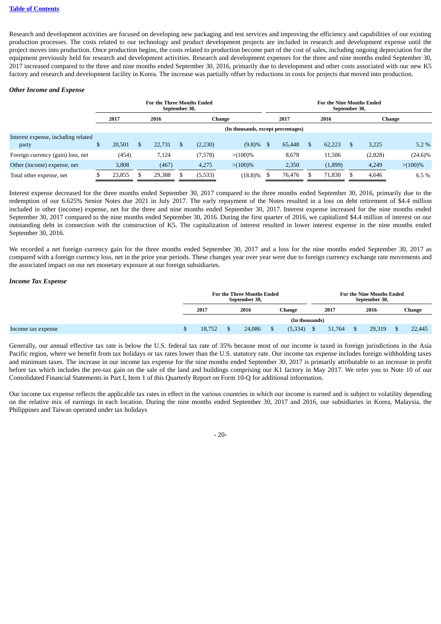Research and development activities are focused on developing new packaging and test services and improving the efficiency and capabilities of our existing production processes. The costs related to our technology and product development projects are included in research and development expense until the project moves into production. Once production begins, the costs related to production become part of the cost of sales, including ongoing depreciation for the equipment previously held for research and development activities. Research and development expenses for the three and nine months ended September 30, 2017 increased compared to the three and nine months ended September 30, 2016, primarily due to development and other costs associated with our new K5 factory and research and development facility in Korea. The increase was partially offset by reductions in costs for projects that moved into production.

## *Other Income and Expense*

|                                     |   | <b>For the Three Months Ended</b><br>September 30, |  |                |               |                                    |              |  | <b>For the Nine Months Ended</b><br>September 30, |  |         |   |         |            |  |  |
|-------------------------------------|---|----------------------------------------------------|--|----------------|---------------|------------------------------------|--------------|--|---------------------------------------------------|--|---------|---|---------|------------|--|--|
|                                     |   | 2017                                               |  | 2016<br>Change |               |                                    |              |  | 2016<br>2017                                      |  |         |   | Change  |            |  |  |
|                                     |   |                                                    |  |                |               | (In thousands, except percentages) |              |  |                                                   |  |         |   |         |            |  |  |
| Interest expense, including related |   |                                                    |  |                |               |                                    |              |  |                                                   |  |         |   |         |            |  |  |
| party                               | S | 20,501                                             |  | 22,731         | <sup>\$</sup> | (2,230)                            | $(9.8)\%$ \$ |  | 65,448                                            |  | 62,223  | S | 3,225   | $5.2\%$    |  |  |
| Foreign currency (gain) loss, net   |   | (454)                                              |  | 7,124          |               | (7,578)                            | $>(100)\%$   |  | 8.678                                             |  | 11,506  |   | (2,828) | $(24.6)\%$ |  |  |
| Other (income) expense, net         |   | 3,808                                              |  | (467)          |               | 4,275                              | $>(100)\%$   |  | 2,350                                             |  | (1,899) |   | 4,249   | $>(100)\%$ |  |  |
| Total other expense, net            |   | 23,855                                             |  | 29.388         |               | (5,533)                            | $(18.8)\%$   |  | 76.476                                            |  | 71,830  |   | 4,646   | $6.5\%$    |  |  |

Interest expense decreased for the three months ended September 30, 2017 compared to the three months ended September 30, 2016, primarily due to the redemption of our 6.625% Senior Notes due 2021 in July 2017. The early repayment of the Notes resulted in a loss on debt retirement of \$4.4 million included in other (income) expense, net for the three and nine months ended September 30, 2017. Interest expense increased for the nine months ended September 30, 2017 compared to the nine months ended September 30, 2016. During the first quarter of 2016, we capitalized \$4.4 million of interest on our outstanding debt in connection with the construction of K5. The capitalization of interest resulted in lower interest expense in the nine months ended September 30, 2016.

We recorded a net foreign currency gain for the three months ended September 30, 2017 and a loss for the nine months ended September 30, 2017 as compared with a foreign currency loss, net in the prior year periods. These changes year over year were due to foreign currency exchange rate movements and the associated impact on our net monetary exposure at our foreign subsidiaries.

## *Income Tax Expense*

|                    | <b>For the Three Months Ended</b><br>September 30, |  |        |        | <b>For the Nine Months Ended</b><br>September 30, |              |        |  |        |  |        |
|--------------------|----------------------------------------------------|--|--------|--------|---------------------------------------------------|--------------|--------|--|--------|--|--------|
|                    | 2016<br>2017                                       |  |        | Change |                                                   | 2016<br>2017 |        |  | Change |  |        |
|                    |                                                    |  |        |        | (In thousands)                                    |              |        |  |        |  |        |
| Income tax expense | 18.752                                             |  | 24,086 |        | (5,334)                                           |              | 51,764 |  | 29,319 |  | 22,445 |

Generally, our annual effective tax rate is below the U.S. federal tax rate of 35% because most of our income is taxed in foreign jurisdictions in the Asia Pacific region, where we benefit from tax holidays or tax rates lower than the U.S. statutory rate. Our income tax expense includes foreign withholding taxes and minimum taxes. The increase in our income tax expense for the nine months ended September 30, 2017 is primarily attributable to an increase in profit before tax which includes the pre-tax gain on the sale of the land and buildings comprising our K1 factory in May 2017. We refer you to Note 10 of our Consolidated Financial Statements in Part I, Item 1 of this Quarterly Report on Form 10-Q for additional information.

Our income tax expense reflects the applicable tax rates in effect in the various countries in which our income is earned and is subject to volatility depending on the relative mix of earnings in each location. During the nine months ended September 30, 2017 and 2016, our subsidiaries in Korea, Malaysia, the Philippines and Taiwan operated under tax holidays

- 20-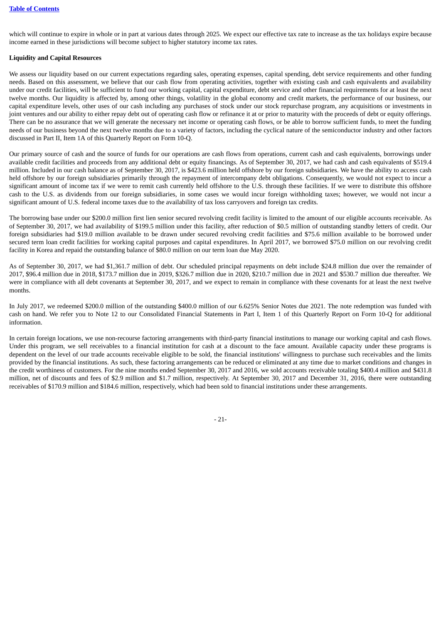which will continue to expire in whole or in part at various dates through 2025. We expect our effective tax rate to increase as the tax holidays expire because income earned in these jurisdictions will become subject to higher statutory income tax rates.

#### **Liquidity and Capital Resources**

We assess our liquidity based on our current expectations regarding sales, operating expenses, capital spending, debt service requirements and other funding needs. Based on this assessment, we believe that our cash flow from operating activities, together with existing cash and cash equivalents and availability under our credit facilities, will be sufficient to fund our working capital, capital expenditure, debt service and other financial requirements for at least the next twelve months. Our liquidity is affected by, among other things, volatility in the global economy and credit markets, the performance of our business, our capital expenditure levels, other uses of our cash including any purchases of stock under our stock repurchase program, any acquisitions or investments in joint ventures and our ability to either repay debt out of operating cash flow or refinance it at or prior to maturity with the proceeds of debt or equity offerings. There can be no assurance that we will generate the necessary net income or operating cash flows, or be able to borrow sufficient funds, to meet the funding needs of our business beyond the next twelve months due to a variety of factors, including the cyclical nature of the semiconductor industry and other factors discussed in Part II, Item 1A of this Quarterly Report on Form 10-Q.

Our primary source of cash and the source of funds for our operations are cash flows from operations, current cash and cash equivalents, borrowings under available credit facilities and proceeds from any additional debt or equity financings. As of September 30, 2017, we had cash and cash equivalents of \$519.4 million. Included in our cash balance as of September 30, 2017, is \$423.6 million held offshore by our foreign subsidiaries. We have the ability to access cash held offshore by our foreign subsidiaries primarily through the repayment of intercompany debt obligations. Consequently, we would not expect to incur a significant amount of income tax if we were to remit cash currently held offshore to the U.S. through these facilities. If we were to distribute this offshore cash to the U.S. as dividends from our foreign subsidiaries, in some cases we would incur foreign withholding taxes; however, we would not incur a significant amount of U.S. federal income taxes due to the availability of tax loss carryovers and foreign tax credits.

The borrowing base under our \$200.0 million first lien senior secured revolving credit facility is limited to the amount of our eligible accounts receivable. As of September 30, 2017, we had availability of \$199.5 million under this facility, after reduction of \$0.5 million of outstanding standby letters of credit. Our foreign subsidiaries had \$19.0 million available to be drawn under secured revolving credit facilities and \$75.6 million available to be borrowed under secured term loan credit facilities for working capital purposes and capital expenditures. In April 2017, we borrowed \$75.0 million on our revolving credit facility in Korea and repaid the outstanding balance of \$80.0 million on our term loan due May 2020.

As of September 30, 2017, we had \$1,361.7 million of debt. Our scheduled principal repayments on debt include \$24.8 million due over the remainder of 2017, \$96.4 million due in 2018, \$173.7 million due in 2019, \$326.7 million due in 2020, \$210.7 million due in 2021 and \$530.7 million due thereafter. We were in compliance with all debt covenants at September 30, 2017, and we expect to remain in compliance with these covenants for at least the next twelve months.

In July 2017, we redeemed \$200.0 million of the outstanding \$400.0 million of our 6.625% Senior Notes due 2021. The note redemption was funded with cash on hand. We refer you to Note 12 to our Consolidated Financial Statements in Part I, Item 1 of this Quarterly Report on Form 10-Q for additional information.

In certain foreign locations, we use non-recourse factoring arrangements with third-party financial institutions to manage our working capital and cash flows. Under this program, we sell receivables to a financial institution for cash at a discount to the face amount. Available capacity under these programs is dependent on the level of our trade accounts receivable eligible to be sold, the financial institutions' willingness to purchase such receivables and the limits provided by the financial institutions. As such, these factoring arrangements can be reduced or eliminated at any time due to market conditions and changes in the credit worthiness of customers. For the nine months ended September 30, 2017 and 2016, we sold accounts receivable totaling \$400.4 million and \$431.8 million, net of discounts and fees of \$2.9 million and \$1.7 million, respectively. At September 30, 2017 and December 31, 2016, there were outstanding receivables of \$170.9 million and \$184.6 million, respectively, which had been sold to financial institutions under these arrangements.

- 21-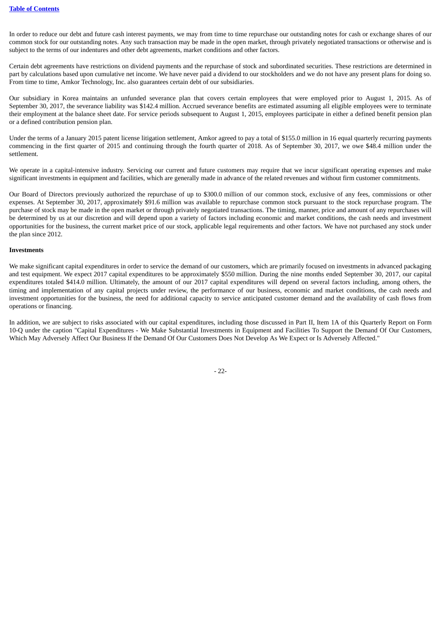In order to reduce our debt and future cash interest payments, we may from time to time repurchase our outstanding notes for cash or exchange shares of our common stock for our outstanding notes. Any such transaction may be made in the open market, through privately negotiated transactions or otherwise and is subject to the terms of our indentures and other debt agreements, market conditions and other factors.

Certain debt agreements have restrictions on dividend payments and the repurchase of stock and subordinated securities. These restrictions are determined in part by calculations based upon cumulative net income. We have never paid a dividend to our stockholders and we do not have any present plans for doing so. From time to time, Amkor Technology, Inc. also guarantees certain debt of our subsidiaries.

Our subsidiary in Korea maintains an unfunded severance plan that covers certain employees that were employed prior to August 1, 2015. As of September 30, 2017, the severance liability was \$142.4 million. Accrued severance benefits are estimated assuming all eligible employees were to terminate their employment at the balance sheet date. For service periods subsequent to August 1, 2015, employees participate in either a defined benefit pension plan or a defined contribution pension plan.

Under the terms of a January 2015 patent license litigation settlement, Amkor agreed to pay a total of \$155.0 million in 16 equal quarterly recurring payments commencing in the first quarter of 2015 and continuing through the fourth quarter of 2018. As of September 30, 2017, we owe \$48.4 million under the settlement.

We operate in a capital-intensive industry. Servicing our current and future customers may require that we incur significant operating expenses and make significant investments in equipment and facilities, which are generally made in advance of the related revenues and without firm customer commitments.

Our Board of Directors previously authorized the repurchase of up to \$300.0 million of our common stock, exclusive of any fees, commissions or other expenses. At September 30, 2017, approximately \$91.6 million was available to repurchase common stock pursuant to the stock repurchase program. The purchase of stock may be made in the open market or through privately negotiated transactions. The timing, manner, price and amount of any repurchases will be determined by us at our discretion and will depend upon a variety of factors including economic and market conditions, the cash needs and investment opportunities for the business, the current market price of our stock, applicable legal requirements and other factors. We have not purchased any stock under the plan since 2012.

#### **Investments**

We make significant capital expenditures in order to service the demand of our customers, which are primarily focused on investments in advanced packaging and test equipment. We expect 2017 capital expenditures to be approximately \$550 million. During the nine months ended September 30, 2017, our capital expenditures totaled \$414.0 million. Ultimately, the amount of our 2017 capital expenditures will depend on several factors including, among others, the timing and implementation of any capital projects under review, the performance of our business, economic and market conditions, the cash needs and investment opportunities for the business, the need for additional capacity to service anticipated customer demand and the availability of cash flows from operations or financing.

In addition, we are subject to risks associated with our capital expenditures, including those discussed in Part II, Item 1A of this Quarterly Report on Form 10-Q under the caption "Capital Expenditures - We Make Substantial Investments in Equipment and Facilities To Support the Demand Of Our Customers, Which May Adversely Affect Our Business If the Demand Of Our Customers Does Not Develop As We Expect or Is Adversely Affected."

- 22-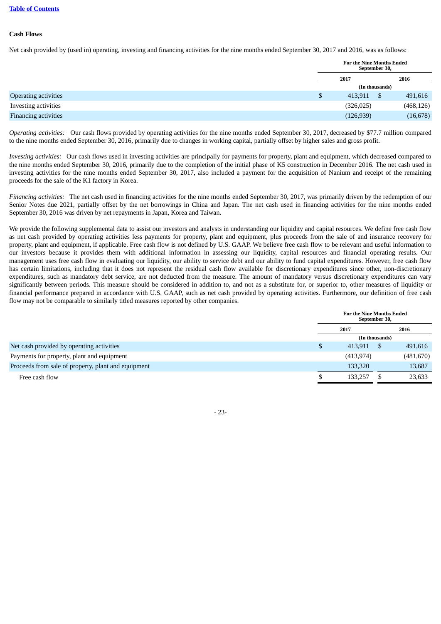## **Cash Flows**

Net cash provided by (used in) operating, investing and financing activities for the nine months ended September 30, 2017 and 2016, was as follows:

|                             |   | <b>For the Nine Months Ended</b><br>September 30, |                |            |
|-----------------------------|---|---------------------------------------------------|----------------|------------|
|                             |   | 2017                                              | 2016           |            |
|                             |   | (In thousands)                                    |                |            |
| <b>Operating activities</b> | ъ | 413,911                                           | $\mathfrak{s}$ | 491,616    |
| Investing activities        |   | (326, 025)                                        |                | (468, 126) |
| <b>Financing activities</b> |   | (126, 939)                                        |                | (16, 678)  |

*Operating activities:* Our cash flows provided by operating activities for the nine months ended September 30, 2017, decreased by \$77.7 million compared to the nine months ended September 30, 2016, primarily due to changes in working capital, partially offset by higher sales and gross profit.

*Investing activities:* Our cash flows used in investing activities are principally for payments for property, plant and equipment, which decreased compared to the nine months ended September 30, 2016, primarily due to the completion of the initial phase of K5 construction in December 2016. The net cash used in investing activities for the nine months ended September 30, 2017, also included a payment for the acquisition of Nanium and receipt of the remaining proceeds for the sale of the K1 factory in Korea.

*Financing activities:* The net cash used in financing activities for the nine months ended September 30, 2017, was primarily driven by the redemption of our Senior Notes due 2021, partially offset by the net borrowings in China and Japan. The net cash used in financing activities for the nine months ended September 30, 2016 was driven by net repayments in Japan, Korea and Taiwan.

We provide the following supplemental data to assist our investors and analysts in understanding our liquidity and capital resources. We define free cash flow as net cash provided by operating activities less payments for property, plant and equipment, plus proceeds from the sale of and insurance recovery for property, plant and equipment, if applicable. Free cash flow is not defined by U.S. GAAP. We believe free cash flow to be relevant and useful information to our investors because it provides them with additional information in assessing our liquidity, capital resources and financial operating results. Our management uses free cash flow in evaluating our liquidity, our ability to service debt and our ability to fund capital expenditures. However, free cash flow has certain limitations, including that it does not represent the residual cash flow available for discretionary expenditures since other, non-discretionary expenditures, such as mandatory debt service, are not deducted from the measure. The amount of mandatory versus discretionary expenditures can vary significantly between periods. This measure should be considered in addition to, and not as a substitute for, or superior to, other measures of liquidity or financial performance prepared in accordance with U.S. GAAP, such as net cash provided by operating activities. Furthermore, our definition of free cash flow may not be comparable to similarly titled measures reported by other companies.

|                                                     |  | <b>For the Nine Months Ended</b> | September 30,  |            |
|-----------------------------------------------------|--|----------------------------------|----------------|------------|
|                                                     |  | 2016                             |                |            |
|                                                     |  |                                  | (In thousands) |            |
| Net cash provided by operating activities           |  | 413.911                          | S              | 491,616    |
| Payments for property, plant and equipment          |  | (413, 974)                       |                | (481, 670) |
| Proceeds from sale of property, plant and equipment |  | 133,320                          |                | 13,687     |
| Free cash flow                                      |  | 133,257                          |                | 23,633     |

- 23-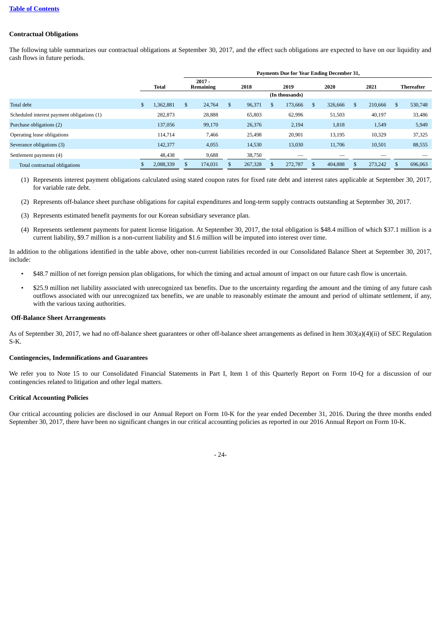## **Contractual Obligations**

The following table summarizes our contractual obligations at September 30, 2017, and the effect such obligations are expected to have on our liquidity and cash flows in future periods.

|                                            |    |              | <b>Payments Due for Year Ending December 31,</b> |                       |    |         |   |                |     |         |    |         |   |                   |
|--------------------------------------------|----|--------------|--------------------------------------------------|-----------------------|----|---------|---|----------------|-----|---------|----|---------|---|-------------------|
|                                            |    | <b>Total</b> |                                                  | $2017 -$<br>Remaining |    | 2018    |   | 2019           |     | 2020    |    | 2021    |   | <b>Thereafter</b> |
|                                            |    |              |                                                  |                       |    |         |   | (In thousands) |     |         |    |         |   |                   |
| Total debt                                 | \$ | 1,362,881    | \$                                               | 24,764                | \$ | 96,371  | S | 173,666        | \$. | 326,666 | \$ | 210,666 | S | 530,748           |
| Scheduled interest payment obligations (1) |    | 282,873      |                                                  | 28,888                |    | 65,803  |   | 62,996         |     | 51,503  |    | 40,197  |   | 33,486            |
| Purchase obligations (2)                   |    | 137,056      |                                                  | 99,170                |    | 26,376  |   | 2,194          |     | 1,818   |    | 1,549   |   | 5,949             |
| Operating lease obligations                |    | 114,714      |                                                  | 7,466                 |    | 25,498  |   | 20,901         |     | 13,195  |    | 10,329  |   | 37,325            |
| Severance obligations (3)                  |    | 142,377      |                                                  | 4,055                 |    | 14,530  |   | 13,030         |     | 11,706  |    | 10,501  |   | 88,555            |
| Settlement payments (4)                    |    | 48,438       |                                                  | 9,688                 |    | 38,750  |   |                |     |         |    |         |   |                   |
| Total contractual obligations              | .S | 2,088,339    |                                                  | 174,031               |    | 267,328 |   | 272,787        |     | 404,888 |    | 273,242 |   | 696,063           |

(1) Represents interest payment obligations calculated using stated coupon rates for fixed rate debt and interest rates applicable at September 30, 2017, for variable rate debt.

(2) Represents off-balance sheet purchase obligations for capital expenditures and long-term supply contracts outstanding at September 30, 2017.

- (3) Represents estimated benefit payments for our Korean subsidiary severance plan.
- (4) Represents settlement payments for patent license litigation. At September 30, 2017, the total obligation is \$48.4 million of which \$37.1 million is a current liability, \$9.7 million is a non-current liability and \$1.6 million will be imputed into interest over time.

In addition to the obligations identified in the table above, other non-current liabilities recorded in our Consolidated Balance Sheet at September 30, 2017, include:

- \$48.7 million of net foreign pension plan obligations, for which the timing and actual amount of impact on our future cash flow is uncertain.
- \$25.9 million net liability associated with unrecognized tax benefits. Due to the uncertainty regarding the amount and the timing of any future cash outflows associated with our unrecognized tax benefits, we are unable to reasonably estimate the amount and period of ultimate settlement, if any, with the various taxing authorities.

#### **Off-Balance Sheet Arrangements**

As of September 30, 2017, we had no off-balance sheet guarantees or other off-balance sheet arrangements as defined in Item 303(a)(4)(ii) of SEC Regulation S-K.

#### **Contingencies, Indemnifications and Guarantees**

We refer you to Note 15 to our Consolidated Financial Statements in Part I, Item 1 of this Quarterly Report on Form 10-Q for a discussion of our contingencies related to litigation and other legal matters.

#### **Critical Accounting Policies**

Our critical accounting policies are disclosed in our Annual Report on Form 10-K for the year ended December 31, 2016. During the three months ended September 30, 2017, there have been no significant changes in our critical accounting policies as reported in our 2016 Annual Report on Form 10-K.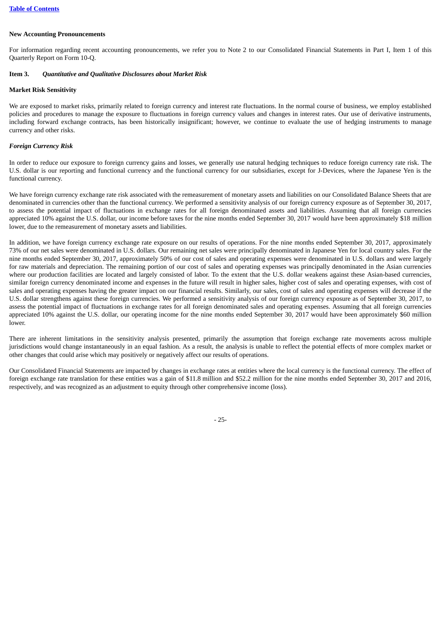#### **New Accounting Pronouncements**

For information regarding recent accounting pronouncements, we refer you to Note 2 to our Consolidated Financial Statements in Part I, Item 1 of this Quarterly Report on Form 10-Q.

#### <span id="page-25-0"></span>**Item 3.** *Quantitative and Qualitative Disclosures about Market Risk*

#### **Market Risk Sensitivity**

We are exposed to market risks, primarily related to foreign currency and interest rate fluctuations. In the normal course of business, we employ established policies and procedures to manage the exposure to fluctuations in foreign currency values and changes in interest rates. Our use of derivative instruments, including forward exchange contracts, has been historically insignificant; however, we continue to evaluate the use of hedging instruments to manage currency and other risks.

## *Foreign Currency Risk*

In order to reduce our exposure to foreign currency gains and losses, we generally use natural hedging techniques to reduce foreign currency rate risk. The U.S. dollar is our reporting and functional currency and the functional currency for our subsidiaries, except for J-Devices, where the Japanese Yen is the functional currency.

We have foreign currency exchange rate risk associated with the remeasurement of monetary assets and liabilities on our Consolidated Balance Sheets that are denominated in currencies other than the functional currency. We performed a sensitivity analysis of our foreign currency exposure as of September 30, 2017, to assess the potential impact of fluctuations in exchange rates for all foreign denominated assets and liabilities. Assuming that all foreign currencies appreciated 10% against the U.S. dollar, our income before taxes for the nine months ended September 30, 2017 would have been approximately \$18 million lower, due to the remeasurement of monetary assets and liabilities.

In addition, we have foreign currency exchange rate exposure on our results of operations. For the nine months ended September 30, 2017, approximately 73% of our net sales were denominated in U.S. dollars. Our remaining net sales were principally denominated in Japanese Yen for local country sales. For the nine months ended September 30, 2017, approximately 50% of our cost of sales and operating expenses were denominated in U.S. dollars and were largely for raw materials and depreciation. The remaining portion of our cost of sales and operating expenses was principally denominated in the Asian currencies where our production facilities are located and largely consisted of labor. To the extent that the U.S. dollar weakens against these Asian-based currencies, similar foreign currency denominated income and expenses in the future will result in higher sales, higher cost of sales and operating expenses, with cost of sales and operating expenses having the greater impact on our financial results. Similarly, our sales, cost of sales and operating expenses will decrease if the U.S. dollar strengthens against these foreign currencies. We performed a sensitivity analysis of our foreign currency exposure as of September 30, 2017, to assess the potential impact of fluctuations in exchange rates for all foreign denominated sales and operating expenses. Assuming that all foreign currencies appreciated 10% against the U.S. dollar, our operating income for the nine months ended September 30, 2017 would have been approximately \$60 million lower.

There are inherent limitations in the sensitivity analysis presented, primarily the assumption that foreign exchange rate movements across multiple jurisdictions would change instantaneously in an equal fashion. As a result, the analysis is unable to reflect the potential effects of more complex market or other changes that could arise which may positively or negatively affect our results of operations.

Our Consolidated Financial Statements are impacted by changes in exchange rates at entities where the local currency is the functional currency. The effect of foreign exchange rate translation for these entities was a gain of \$11.8 million and \$52.2 million for the nine months ended September 30, 2017 and 2016, respectively, and was recognized as an adjustment to equity through other comprehensive income (loss).

- 25-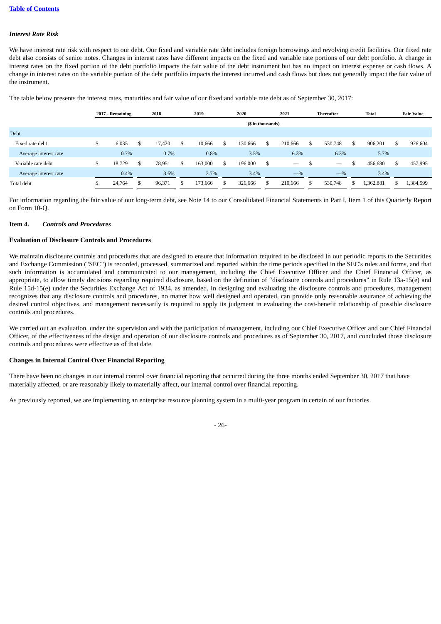#### *Interest Rate Risk*

We have interest rate risk with respect to our debt. Our fixed and variable rate debt includes foreign borrowings and revolving credit facilities. Our fixed rate debt also consists of senior notes. Changes in interest rates have different impacts on the fixed and variable rate portions of our debt portfolio. A change in interest rates on the fixed portion of the debt portfolio impacts the fair value of the debt instrument but has no impact on interest expense or cash flows. A change in interest rates on the variable portion of the debt portfolio impacts the interest incurred and cash flows but does not generally impact the fair value of the instrument.

The table below presents the interest rates, maturities and fair value of our fixed and variable rate debt as of September 30, 2017:

|                       |     | 2017 - Remaining | 2018     |        | 2019          |     | 2020              |    | 2021    | <b>Thereafter</b> |                          |    |           |    | <b>Fair Value</b> |
|-----------------------|-----|------------------|----------|--------|---------------|-----|-------------------|----|---------|-------------------|--------------------------|----|-----------|----|-------------------|
|                       |     |                  |          |        |               |     | (\$ in thousands) |    |         |                   |                          |    |           |    |                   |
| <b>Debt</b>           |     |                  |          |        |               |     |                   |    |         |                   |                          |    |           |    |                   |
| Fixed rate debt       |     | 6,035            | э        | 17.420 | \$<br>10.666  | \$. | 130,666           | \$ | 210,666 | £.                | 530,748                  | S. | 906,201   |    | 926,604           |
| Average interest rate |     | 0.7%             |          | 0.7%   | 0.8%          |     | 3.5%              |    | 6.3%    |                   | 6.3%                     |    | 5.7%      |    |                   |
| Variable rate debt    | ۰п. | 18,729           | <b>D</b> | 78,951 | \$<br>163,000 | \$  | 196,000           | -S |         |                   | $\overline{\phantom{0}}$ |    | 456,680   | £. | 457,995           |
| Average interest rate |     | 0.4%             |          | 3.6%   | 3.7%          |     | 3.4%              |    | $-$ %   |                   | $-$ %                    |    | 3.4%      |    |                   |
| Total debt            |     | 24,764           |          | 96,371 | 173,666       | \$  | 326,666           |    | 210,666 |                   | 530,748                  | S. | 1,362,881 |    | 1,384,599         |

For information regarding the fair value of our long-term debt, see Note 14 to our Consolidated Financial Statements in Part I, Item 1 of this Quarterly Report on Form 10-Q.

#### <span id="page-26-0"></span>**Item 4.** *Controls and Procedures*

## **Evaluation of Disclosure Controls and Procedures**

We maintain disclosure controls and procedures that are designed to ensure that information required to be disclosed in our periodic reports to the Securities and Exchange Commission ("SEC") is recorded, processed, summarized and reported within the time periods specified in the SEC's rules and forms, and that such information is accumulated and communicated to our management, including the Chief Executive Officer and the Chief Financial Officer, as appropriate, to allow timely decisions regarding required disclosure, based on the definition of "disclosure controls and procedures" in Rule 13a-15(e) and Rule 15d-15(e) under the Securities Exchange Act of 1934, as amended. In designing and evaluating the disclosure controls and procedures, management recognizes that any disclosure controls and procedures, no matter how well designed and operated, can provide only reasonable assurance of achieving the desired control objectives, and management necessarily is required to apply its judgment in evaluating the cost-benefit relationship of possible disclosure controls and procedures.

We carried out an evaluation, under the supervision and with the participation of management, including our Chief Executive Officer and our Chief Financial Officer, of the effectiveness of the design and operation of our disclosure controls and procedures as of September 30, 2017, and concluded those disclosure controls and procedures were effective as of that date.

## **Changes in Internal Control Over Financial Reporting**

There have been no changes in our internal control over financial reporting that occurred during the three months ended September 30, 2017 that have materially affected, or are reasonably likely to materially affect, our internal control over financial reporting.

As previously reported, we are implementing an enterprise resource planning system in a multi-year program in certain of our factories.

- 26-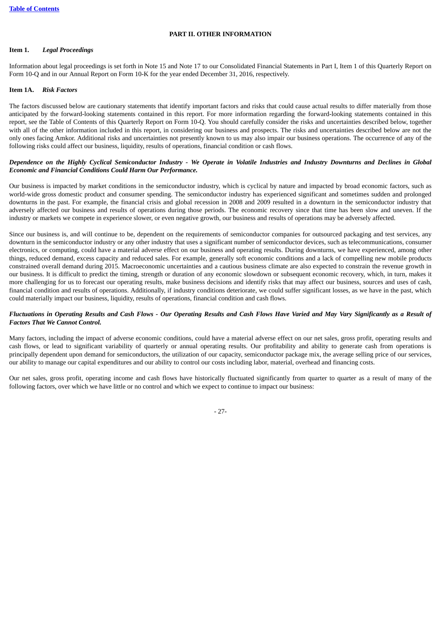## **PART II. OTHER INFORMATION**

## <span id="page-27-1"></span><span id="page-27-0"></span>**Item 1.** *Legal Proceedings*

Information about legal proceedings is set forth in Note 15 and Note 17 to our Consolidated Financial Statements in Part I, Item 1 of this Quarterly Report on Form 10-Q and in our Annual Report on Form 10-K for the year ended December 31, 2016, respectively.

#### <span id="page-27-2"></span>**Item 1A.** *Risk Factors*

The factors discussed below are cautionary statements that identify important factors and risks that could cause actual results to differ materially from those anticipated by the forward-looking statements contained in this report. For more information regarding the forward-looking statements contained in this report, see the Table of Contents of this Quarterly Report on Form 10-Q. You should carefully consider the risks and uncertainties described below, together with all of the other information included in this report, in considering our business and prospects. The risks and uncertainties described below are not the only ones facing Amkor. Additional risks and uncertainties not presently known to us may also impair our business operations. The occurrence of any of the following risks could affect our business, liquidity, results of operations, financial condition or cash flows.

## Dependence on the Highly Cyclical Semiconductor Industry - We Operate in Volatile Industries and Industry Downturns and Declines in Global *Economic and Financial Conditions Could Harm Our Performance.*

Our business is impacted by market conditions in the semiconductor industry, which is cyclical by nature and impacted by broad economic factors, such as world-wide gross domestic product and consumer spending. The semiconductor industry has experienced significant and sometimes sudden and prolonged downturns in the past. For example, the financial crisis and global recession in 2008 and 2009 resulted in a downturn in the semiconductor industry that adversely affected our business and results of operations during those periods. The economic recovery since that time has been slow and uneven. If the industry or markets we compete in experience slower, or even negative growth, our business and results of operations may be adversely affected.

Since our business is, and will continue to be, dependent on the requirements of semiconductor companies for outsourced packaging and test services, any downturn in the semiconductor industry or any other industry that uses a significant number of semiconductor devices, such as telecommunications, consumer electronics, or computing, could have a material adverse effect on our business and operating results. During downturns, we have experienced, among other things, reduced demand, excess capacity and reduced sales. For example, generally soft economic conditions and a lack of compelling new mobile products constrained overall demand during 2015. Macroeconomic uncertainties and a cautious business climate are also expected to constrain the revenue growth in our business. It is difficult to predict the timing, strength or duration of any economic slowdown or subsequent economic recovery, which, in turn, makes it more challenging for us to forecast our operating results, make business decisions and identify risks that may affect our business, sources and uses of cash, financial condition and results of operations. Additionally, if industry conditions deteriorate, we could suffer significant losses, as we have in the past, which could materially impact our business, liquidity, results of operations, financial condition and cash flows.

#### Fluctuations in Operating Results and Cash Flows - Our Operating Results and Cash Flows Have Varied and May Vary Significantly as a Result of *Factors That We Cannot Control.*

Many factors, including the impact of adverse economic conditions, could have a material adverse effect on our net sales, gross profit, operating results and cash flows, or lead to significant variability of quarterly or annual operating results. Our profitability and ability to generate cash from operations is principally dependent upon demand for semiconductors, the utilization of our capacity, semiconductor package mix, the average selling price of our services, our ability to manage our capital expenditures and our ability to control our costs including labor, material, overhead and financing costs.

Our net sales, gross profit, operating income and cash flows have historically fluctuated significantly from quarter to quarter as a result of many of the following factors, over which we have little or no control and which we expect to continue to impact our business:

- 27-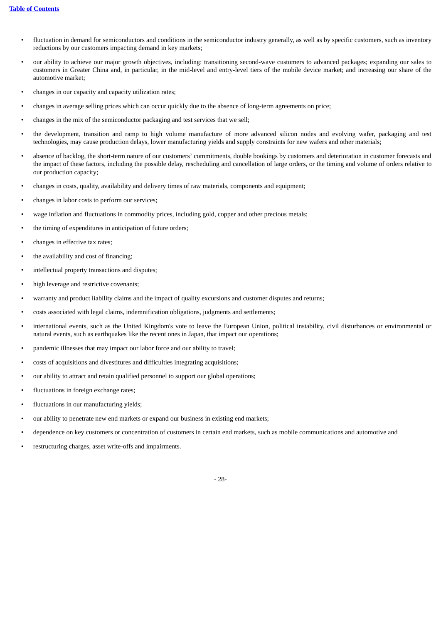- fluctuation in demand for semiconductors and conditions in the semiconductor industry generally, as well as by specific customers, such as inventory reductions by our customers impacting demand in key markets;
- our ability to achieve our major growth objectives, including: transitioning second-wave customers to advanced packages; expanding our sales to customers in Greater China and, in particular, in the mid-level and entry-level tiers of the mobile device market; and increasing our share of the automotive market;
- changes in our capacity and capacity utilization rates;
- changes in average selling prices which can occur quickly due to the absence of long-term agreements on price;
- changes in the mix of the semiconductor packaging and test services that we sell;
- the development, transition and ramp to high volume manufacture of more advanced silicon nodes and evolving wafer, packaging and test technologies, may cause production delays, lower manufacturing yields and supply constraints for new wafers and other materials;
- absence of backlog, the short-term nature of our customers' commitments, double bookings by customers and deterioration in customer forecasts and the impact of these factors, including the possible delay, rescheduling and cancellation of large orders, or the timing and volume of orders relative to our production capacity;
- changes in costs, quality, availability and delivery times of raw materials, components and equipment;
- changes in labor costs to perform our services;
- wage inflation and fluctuations in commodity prices, including gold, copper and other precious metals;
- the timing of expenditures in anticipation of future orders;
- changes in effective tax rates;
- the availability and cost of financing;
- intellectual property transactions and disputes;
- high leverage and restrictive covenants;
- warranty and product liability claims and the impact of quality excursions and customer disputes and returns;
- costs associated with legal claims, indemnification obligations, judgments and settlements;
- international events, such as the United Kingdom's vote to leave the European Union, political instability, civil disturbances or environmental or natural events, such as earthquakes like the recent ones in Japan, that impact our operations;
- pandemic illnesses that may impact our labor force and our ability to travel;
- costs of acquisitions and divestitures and difficulties integrating acquisitions;
- our ability to attract and retain qualified personnel to support our global operations;
- fluctuations in foreign exchange rates;
- fluctuations in our manufacturing yields;
- our ability to penetrate new end markets or expand our business in existing end markets;
- dependence on key customers or concentration of customers in certain end markets, such as mobile communications and automotive and
- restructuring charges, asset write-offs and impairments.

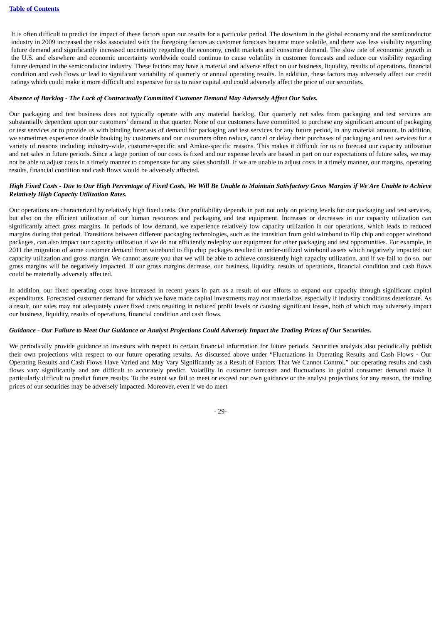It is often difficult to predict the impact of these factors upon our results for a particular period. The downturn in the global economy and the semiconductor industry in 2009 increased the risks associated with the foregoing factors as customer forecasts became more volatile, and there was less visibility regarding future demand and significantly increased uncertainty regarding the economy, credit markets and consumer demand. The slow rate of economic growth in the U.S. and elsewhere and economic uncertainty worldwide could continue to cause volatility in customer forecasts and reduce our visibility regarding future demand in the semiconductor industry. These factors may have a material and adverse effect on our business, liquidity, results of operations, financial condition and cash flows or lead to significant variability of quarterly or annual operating results. In addition, these factors may adversely affect our credit ratings which could make it more difficult and expensive for us to raise capital and could adversely affect the price of our securities.

#### *Absence of Backlog - The Lack of Contractually Committed Customer Demand May Adversely Affect Our Sales.*

Our packaging and test business does not typically operate with any material backlog. Our quarterly net sales from packaging and test services are substantially dependent upon our customers' demand in that quarter. None of our customers have committed to purchase any significant amount of packaging or test services or to provide us with binding forecasts of demand for packaging and test services for any future period, in any material amount. In addition, we sometimes experience double booking by customers and our customers often reduce, cancel or delay their purchases of packaging and test services for a variety of reasons including industry-wide, customer-specific and Amkor-specific reasons. This makes it difficult for us to forecast our capacity utilization and net sales in future periods. Since a large portion of our costs is fixed and our expense levels are based in part on our expectations of future sales, we may not be able to adjust costs in a timely manner to compensate for any sales shortfall. If we are unable to adjust costs in a timely manner, our margins, operating results, financial condition and cash flows would be adversely affected.

## High Fixed Costs - Due to Our High Percentage of Fixed Costs, We Will Be Unable to Maintain Satisfactory Gross Margins if We Are Unable to Achieve *Relatively High Capacity Utilization Rates.*

Our operations are characterized by relatively high fixed costs. Our profitability depends in part not only on pricing levels for our packaging and test services, but also on the efficient utilization of our human resources and packaging and test equipment. Increases or decreases in our capacity utilization can significantly affect gross margins. In periods of low demand, we experience relatively low capacity utilization in our operations, which leads to reduced margins during that period. Transitions between different packaging technologies, such as the transition from gold wirebond to flip chip and copper wirebond packages, can also impact our capacity utilization if we do not efficiently redeploy our equipment for other packaging and test opportunities. For example, in 2011 the migration of some customer demand from wirebond to flip chip packages resulted in under-utilized wirebond assets which negatively impacted our capacity utilization and gross margin. We cannot assure you that we will be able to achieve consistently high capacity utilization, and if we fail to do so, our gross margins will be negatively impacted. If our gross margins decrease, our business, liquidity, results of operations, financial condition and cash flows could be materially adversely affected.

In addition, our fixed operating costs have increased in recent years in part as a result of our efforts to expand our capacity through significant capital expenditures. Forecasted customer demand for which we have made capital investments may not materialize, especially if industry conditions deteriorate. As a result, our sales may not adequately cover fixed costs resulting in reduced profit levels or causing significant losses, both of which may adversely impact our business, liquidity, results of operations, financial condition and cash flows.

#### Guidance - Our Failure to Meet Our Guidance or Analyst Projections Could Adversely Impact the Trading Prices of Our Securities.

We periodically provide guidance to investors with respect to certain financial information for future periods. Securities analysts also periodically publish their own projections with respect to our future operating results. As discussed above under "Fluctuations in Operating Results and Cash Flows - Our Operating Results and Cash Flows Have Varied and May Vary Significantly as a Result of Factors That We Cannot Control," our operating results and cash flows vary significantly and are difficult to accurately predict. Volatility in customer forecasts and fluctuations in global consumer demand make it particularly difficult to predict future results. To the extent we fail to meet or exceed our own guidance or the analyst projections for any reason, the trading prices of our securities may be adversely impacted. Moreover, even if we do meet

- 29-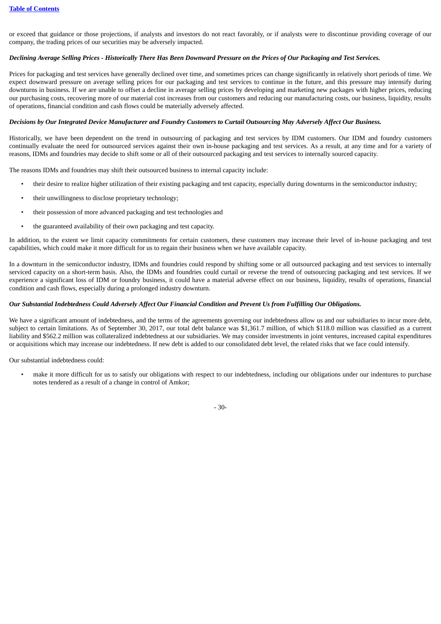or exceed that guidance or those projections, if analysts and investors do not react favorably, or if analysts were to discontinue providing coverage of our company, the trading prices of our securities may be adversely impacted.

#### Declining Average Selling Prices - Historically There Has Been Downward Pressure on the Prices of Our Packaging and Test Services.

Prices for packaging and test services have generally declined over time, and sometimes prices can change significantly in relatively short periods of time. We expect downward pressure on average selling prices for our packaging and test services to continue in the future, and this pressure may intensify during downturns in business. If we are unable to offset a decline in average selling prices by developing and marketing new packages with higher prices, reducing our purchasing costs, recovering more of our material cost increases from our customers and reducing our manufacturing costs, our business, liquidity, results of operations, financial condition and cash flows could be materially adversely affected.

#### Decisions by Our Integrated Device Manufacturer and Foundry Customers to Curtail Outsourcing May Adversely Affect Our Business.

Historically, we have been dependent on the trend in outsourcing of packaging and test services by IDM customers. Our IDM and foundry customers continually evaluate the need for outsourced services against their own in-house packaging and test services. As a result, at any time and for a variety of reasons, IDMs and foundries may decide to shift some or all of their outsourced packaging and test services to internally sourced capacity.

The reasons IDMs and foundries may shift their outsourced business to internal capacity include:

- their desire to realize higher utilization of their existing packaging and test capacity, especially during downturns in the semiconductor industry;
- their unwillingness to disclose proprietary technology;
- their possession of more advanced packaging and test technologies and
- the guaranteed availability of their own packaging and test capacity.

In addition, to the extent we limit capacity commitments for certain customers, these customers may increase their level of in-house packaging and test capabilities, which could make it more difficult for us to regain their business when we have available capacity.

In a downturn in the semiconductor industry, IDMs and foundries could respond by shifting some or all outsourced packaging and test services to internally serviced capacity on a short-term basis. Also, the IDMs and foundries could curtail or reverse the trend of outsourcing packaging and test services. If we experience a significant loss of IDM or foundry business, it could have a material adverse effect on our business, liquidity, results of operations, financial condition and cash flows, especially during a prolonged industry downturn.

## Our Substantial Indebtedness Could Adversely Affect Our Financial Condition and Prevent Us from Fulfilling Our Obligations.

We have a significant amount of indebtedness, and the terms of the agreements governing our indebtedness allow us and our subsidiaries to incur more debt, subject to certain limitations. As of September 30, 2017, our total debt balance was \$1,361.7 million, of which \$118.0 million was classified as a current liability and \$562.2 million was collateralized indebtedness at our subsidiaries. We may consider investments in joint ventures, increased capital expenditures or acquisitions which may increase our indebtedness. If new debt is added to our consolidated debt level, the related risks that we face could intensify.

Our substantial indebtedness could:

• make it more difficult for us to satisfy our obligations with respect to our indebtedness, including our obligations under our indentures to purchase notes tendered as a result of a change in control of Amkor;

- 30-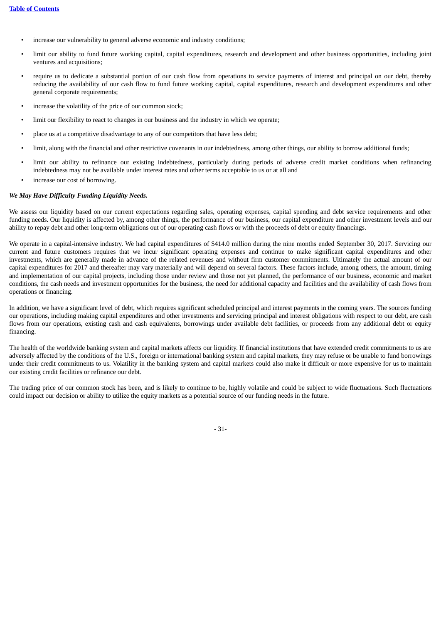- increase our vulnerability to general adverse economic and industry conditions;
- limit our ability to fund future working capital, capital expenditures, research and development and other business opportunities, including joint ventures and acquisitions;
- require us to dedicate a substantial portion of our cash flow from operations to service payments of interest and principal on our debt, thereby reducing the availability of our cash flow to fund future working capital, capital expenditures, research and development expenditures and other general corporate requirements;
- increase the volatility of the price of our common stock;
- limit our flexibility to react to changes in our business and the industry in which we operate;
- place us at a competitive disadvantage to any of our competitors that have less debt;
- limit, along with the financial and other restrictive covenants in our indebtedness, among other things, our ability to borrow additional funds;
- limit our ability to refinance our existing indebtedness, particularly during periods of adverse credit market conditions when refinancing indebtedness may not be available under interest rates and other terms acceptable to us or at all and
- increase our cost of borrowing.

#### *We May Have Difficulty Funding Liquidity Needs.*

We assess our liquidity based on our current expectations regarding sales, operating expenses, capital spending and debt service requirements and other funding needs. Our liquidity is affected by, among other things, the performance of our business, our capital expenditure and other investment levels and our ability to repay debt and other long-term obligations out of our operating cash flows or with the proceeds of debt or equity financings.

We operate in a capital-intensive industry. We had capital expenditures of \$414.0 million during the nine months ended September 30, 2017. Servicing our current and future customers requires that we incur significant operating expenses and continue to make significant capital expenditures and other investments, which are generally made in advance of the related revenues and without firm customer commitments. Ultimately the actual amount of our capital expenditures for 2017 and thereafter may vary materially and will depend on several factors. These factors include, among others, the amount, timing and implementation of our capital projects, including those under review and those not yet planned, the performance of our business, economic and market conditions, the cash needs and investment opportunities for the business, the need for additional capacity and facilities and the availability of cash flows from operations or financing.

In addition, we have a significant level of debt, which requires significant scheduled principal and interest payments in the coming years. The sources funding our operations, including making capital expenditures and other investments and servicing principal and interest obligations with respect to our debt, are cash flows from our operations, existing cash and cash equivalents, borrowings under available debt facilities, or proceeds from any additional debt or equity financing.

The health of the worldwide banking system and capital markets affects our liquidity. If financial institutions that have extended credit commitments to us are adversely affected by the conditions of the U.S., foreign or international banking system and capital markets, they may refuse or be unable to fund borrowings under their credit commitments to us. Volatility in the banking system and capital markets could also make it difficult or more expensive for us to maintain our existing credit facilities or refinance our debt.

The trading price of our common stock has been, and is likely to continue to be, highly volatile and could be subject to wide fluctuations. Such fluctuations could impact our decision or ability to utilize the equity markets as a potential source of our funding needs in the future.

- 31-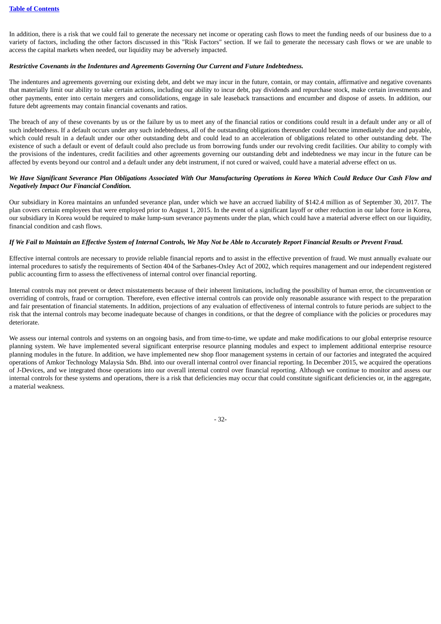In addition, there is a risk that we could fail to generate the necessary net income or operating cash flows to meet the funding needs of our business due to a variety of factors, including the other factors discussed in this "Risk Factors" section. If we fail to generate the necessary cash flows or we are unable to access the capital markets when needed, our liquidity may be adversely impacted.

#### *Restrictive Covenants in the Indentures and Agreements Governing Our Current and Future Indebtedness.*

The indentures and agreements governing our existing debt, and debt we may incur in the future, contain, or may contain, affirmative and negative covenants that materially limit our ability to take certain actions, including our ability to incur debt, pay dividends and repurchase stock, make certain investments and other payments, enter into certain mergers and consolidations, engage in sale leaseback transactions and encumber and dispose of assets. In addition, our future debt agreements may contain financial covenants and ratios.

The breach of any of these covenants by us or the failure by us to meet any of the financial ratios or conditions could result in a default under any or all of such indebtedness. If a default occurs under any such indebtedness, all of the outstanding obligations thereunder could become immediately due and payable, which could result in a default under our other outstanding debt and could lead to an acceleration of obligations related to other outstanding debt. The existence of such a default or event of default could also preclude us from borrowing funds under our revolving credit facilities. Our ability to comply with the provisions of the indentures, credit facilities and other agreements governing our outstanding debt and indebtedness we may incur in the future can be affected by events beyond our control and a default under any debt instrument, if not cured or waived, could have a material adverse effect on us.

## We Have Significant Severance Plan Obligations Associated With Our Manufacturing Operations in Korea Which Could Reduce Our Cash Flow and *Negatively Impact Our Financial Condition.*

Our subsidiary in Korea maintains an unfunded severance plan, under which we have an accrued liability of \$142.4 million as of September 30, 2017. The plan covers certain employees that were employed prior to August 1, 2015. In the event of a significant layoff or other reduction in our labor force in Korea, our subsidiary in Korea would be required to make lump-sum severance payments under the plan, which could have a material adverse effect on our liquidity, financial condition and cash flows.

## If We Fail to Maintain an Effective System of Internal Controls, We May Not be Able to Accurately Report Financial Results or Prevent Fraud.

Effective internal controls are necessary to provide reliable financial reports and to assist in the effective prevention of fraud. We must annually evaluate our internal procedures to satisfy the requirements of Section 404 of the Sarbanes-Oxley Act of 2002, which requires management and our independent registered public accounting firm to assess the effectiveness of internal control over financial reporting.

Internal controls may not prevent or detect misstatements because of their inherent limitations, including the possibility of human error, the circumvention or overriding of controls, fraud or corruption. Therefore, even effective internal controls can provide only reasonable assurance with respect to the preparation and fair presentation of financial statements. In addition, projections of any evaluation of effectiveness of internal controls to future periods are subject to the risk that the internal controls may become inadequate because of changes in conditions, or that the degree of compliance with the policies or procedures may deteriorate.

We assess our internal controls and systems on an ongoing basis, and from time-to-time, we update and make modifications to our global enterprise resource planning system. We have implemented several significant enterprise resource planning modules and expect to implement additional enterprise resource planning modules in the future. In addition, we have implemented new shop floor management systems in certain of our factories and integrated the acquired operations of Amkor Technology Malaysia Sdn. Bhd. into our overall internal control over financial reporting. In December 2015, we acquired the operations of J-Devices, and we integrated those operations into our overall internal control over financial reporting. Although we continue to monitor and assess our internal controls for these systems and operations, there is a risk that deficiencies may occur that could constitute significant deficiencies or, in the aggregate, a material weakness.

- 32-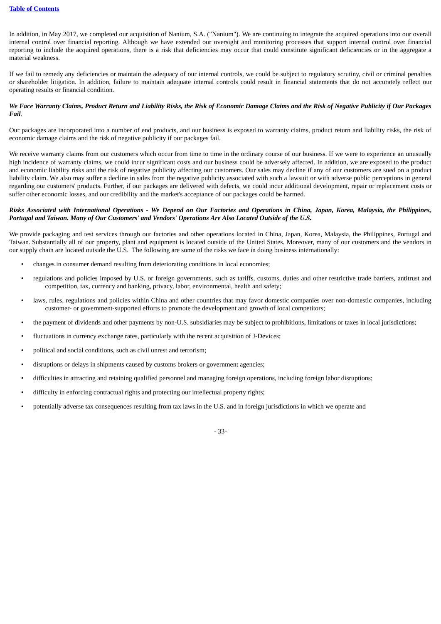In addition, in May 2017, we completed our acquisition of Nanium, S.A. ("Nanium"). We are continuing to integrate the acquired operations into our overall internal control over financial reporting. Although we have extended our oversight and monitoring processes that support internal control over financial reporting to include the acquired operations, there is a risk that deficiencies may occur that could constitute significant deficiencies or in the aggregate a material weakness.

If we fail to remedy any deficiencies or maintain the adequacy of our internal controls, we could be subject to regulatory scrutiny, civil or criminal penalties or shareholder litigation. In addition, failure to maintain adequate internal controls could result in financial statements that do not accurately reflect our operating results or financial condition.

## We Face Warranty Claims, Product Return and Liability Risks, the Risk of Economic Damage Claims and the Risk of Negative Publicity if Our Packages *Fail*.

Our packages are incorporated into a number of end products, and our business is exposed to warranty claims, product return and liability risks, the risk of economic damage claims and the risk of negative publicity if our packages fail.

We receive warranty claims from our customers which occur from time to time in the ordinary course of our business. If we were to experience an unusually high incidence of warranty claims, we could incur significant costs and our business could be adversely affected. In addition, we are exposed to the product and economic liability risks and the risk of negative publicity affecting our customers. Our sales may decline if any of our customers are sued on a product liability claim. We also may suffer a decline in sales from the negative publicity associated with such a lawsuit or with adverse public perceptions in general regarding our customers' products. Further, if our packages are delivered with defects, we could incur additional development, repair or replacement costs or suffer other economic losses, and our credibility and the market's acceptance of our packages could be harmed.

## Risks Associated with International Operations - We Depend on Our Factories and Operations in China, Japan, Korea, Malaysia, the Philippines, *Portugal and Taiwan. Many of Our Customers' and Vendors' Operations Are Also Located Outside of the U.S.*

We provide packaging and test services through our factories and other operations located in China, Japan, Korea, Malaysia, the Philippines, Portugal and Taiwan. Substantially all of our property, plant and equipment is located outside of the United States. Moreover, many of our customers and the vendors in our supply chain are located outside the U.S. The following are some of the risks we face in doing business internationally:

- changes in consumer demand resulting from deteriorating conditions in local economies;
- regulations and policies imposed by U.S. or foreign governments, such as tariffs, customs, duties and other restrictive trade barriers, antitrust and competition, tax, currency and banking, privacy, labor, environmental, health and safety;
- laws, rules, regulations and policies within China and other countries that may favor domestic companies over non-domestic companies, including customer- or government-supported efforts to promote the development and growth of local competitors;
- the payment of dividends and other payments by non-U.S. subsidiaries may be subject to prohibitions, limitations or taxes in local jurisdictions;
- fluctuations in currency exchange rates, particularly with the recent acquisition of J-Devices;
- political and social conditions, such as civil unrest and terrorism;
- disruptions or delays in shipments caused by customs brokers or government agencies;
- difficulties in attracting and retaining qualified personnel and managing foreign operations, including foreign labor disruptions;
- difficulty in enforcing contractual rights and protecting our intellectual property rights;
- potentially adverse tax consequences resulting from tax laws in the U.S. and in foreign jurisdictions in which we operate and

- 33-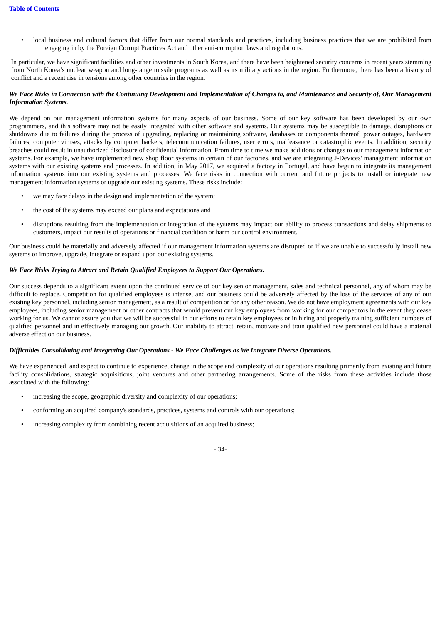• local business and cultural factors that differ from our normal standards and practices, including business practices that we are prohibited from engaging in by the Foreign Corrupt Practices Act and other anti-corruption laws and regulations.

In particular, we have significant facilities and other investments in South Korea, and there have been heightened security concerns in recent years stemming from North Korea's nuclear weapon and long-range missile programs as well as its military actions in the region. Furthermore, there has been a history of conflict and a recent rise in tensions among other countries in the region.

## We Face Risks in Connection with the Continuing Development and Implementation of Changes to, and Maintenance and Security of, Our Management *Information Systems.*

We depend on our management information systems for many aspects of our business. Some of our key software has been developed by our own programmers, and this software may not be easily integrated with other software and systems. Our systems may be susceptible to damage, disruptions or shutdowns due to failures during the process of upgrading, replacing or maintaining software, databases or components thereof, power outages, hardware failures, computer viruses, attacks by computer hackers, telecommunication failures, user errors, malfeasance or catastrophic events. In addition, security breaches could result in unauthorized disclosure of confidential information. From time to time we make additions or changes to our management information systems. For example, we have implemented new shop floor systems in certain of our factories, and we are integrating J-Devices' management information systems with our existing systems and processes. In addition, in May 2017, we acquired a factory in Portugal, and have begun to integrate its management information systems into our existing systems and processes. We face risks in connection with current and future projects to install or integrate new management information systems or upgrade our existing systems. These risks include:

- we may face delays in the design and implementation of the system;
- the cost of the systems may exceed our plans and expectations and
- disruptions resulting from the implementation or integration of the systems may impact our ability to process transactions and delay shipments to customers, impact our results of operations or financial condition or harm our control environment.

Our business could be materially and adversely affected if our management information systems are disrupted or if we are unable to successfully install new systems or improve, upgrade, integrate or expand upon our existing systems.

#### *We Face Risks Trying to Attract and Retain Qualified Employees to Support Our Operations.*

Our success depends to a significant extent upon the continued service of our key senior management, sales and technical personnel, any of whom may be difficult to replace. Competition for qualified employees is intense, and our business could be adversely affected by the loss of the services of any of our existing key personnel, including senior management, as a result of competition or for any other reason. We do not have employment agreements with our key employees, including senior management or other contracts that would prevent our key employees from working for our competitors in the event they cease working for us. We cannot assure you that we will be successful in our efforts to retain key employees or in hiring and properly training sufficient numbers of qualified personnel and in effectively managing our growth. Our inability to attract, retain, motivate and train qualified new personnel could have a material adverse effect on our business.

## *Difficulties Consolidating and Integrating Our Operations - We Face Challenges as We Integrate Diverse Operations.*

We have experienced, and expect to continue to experience, change in the scope and complexity of our operations resulting primarily from existing and future facility consolidations, strategic acquisitions, joint ventures and other partnering arrangements. Some of the risks from these activities include those associated with the following:

- increasing the scope, geographic diversity and complexity of our operations;
- conforming an acquired company's standards, practices, systems and controls with our operations;
- increasing complexity from combining recent acquisitions of an acquired business;

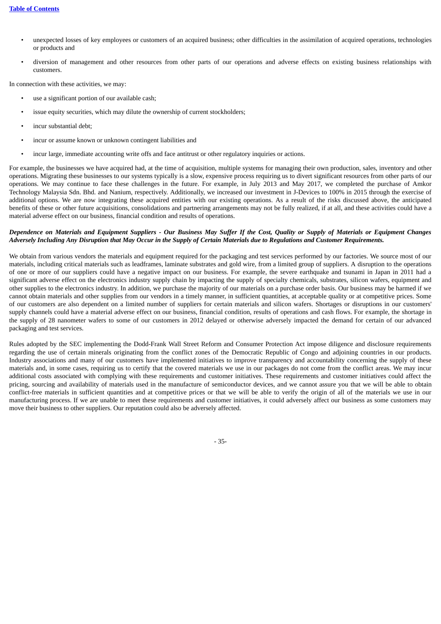- unexpected losses of key employees or customers of an acquired business; other difficulties in the assimilation of acquired operations, technologies or products and
- diversion of management and other resources from other parts of our operations and adverse effects on existing business relationships with customers.

In connection with these activities, we may:

- use a significant portion of our available cash:
- issue equity securities, which may dilute the ownership of current stockholders;
- incur substantial debt;
- incur or assume known or unknown contingent liabilities and
- incur large, immediate accounting write offs and face antitrust or other regulatory inquiries or actions.

For example, the businesses we have acquired had, at the time of acquisition, multiple systems for managing their own production, sales, inventory and other operations. Migrating these businesses to our systems typically is a slow, expensive process requiring us to divert significant resources from other parts of our operations. We may continue to face these challenges in the future. For example, in July 2013 and May 2017, we completed the purchase of Amkor Technology Malaysia Sdn. Bhd. and Nanium, respectively. Additionally, we increased our investment in J-Devices to 100% in 2015 through the exercise of additional options. We are now integrating these acquired entities with our existing operations. As a result of the risks discussed above, the anticipated benefits of these or other future acquisitions, consolidations and partnering arrangements may not be fully realized, if at all, and these activities could have a material adverse effect on our business, financial condition and results of operations.

## Dependence on Materials and Equipment Suppliers - Our Business May Suffer If the Cost, Quality or Supply of Materials or Equipment Changes Adversely Including Any Disruption that May Occur in the Supply of Certain Materials due to Regulations and Customer Requirements.

We obtain from various vendors the materials and equipment required for the packaging and test services performed by our factories. We source most of our materials, including critical materials such as leadframes, laminate substrates and gold wire, from a limited group of suppliers. A disruption to the operations of one or more of our suppliers could have a negative impact on our business. For example, the severe earthquake and tsunami in Japan in 2011 had a significant adverse effect on the electronics industry supply chain by impacting the supply of specialty chemicals, substrates, silicon wafers, equipment and other supplies to the electronics industry. In addition, we purchase the majority of our materials on a purchase order basis. Our business may be harmed if we cannot obtain materials and other supplies from our vendors in a timely manner, in sufficient quantities, at acceptable quality or at competitive prices. Some of our customers are also dependent on a limited number of suppliers for certain materials and silicon wafers. Shortages or disruptions in our customers' supply channels could have a material adverse effect on our business, financial condition, results of operations and cash flows. For example, the shortage in the supply of 28 nanometer wafers to some of our customers in 2012 delayed or otherwise adversely impacted the demand for certain of our advanced packaging and test services.

Rules adopted by the SEC implementing the Dodd-Frank Wall Street Reform and Consumer Protection Act impose diligence and disclosure requirements regarding the use of certain minerals originating from the conflict zones of the Democratic Republic of Congo and adjoining countries in our products. Industry associations and many of our customers have implemented initiatives to improve transparency and accountability concerning the supply of these materials and, in some cases, requiring us to certify that the covered materials we use in our packages do not come from the conflict areas. We may incur additional costs associated with complying with these requirements and customer initiatives. These requirements and customer initiatives could affect the pricing, sourcing and availability of materials used in the manufacture of semiconductor devices, and we cannot assure you that we will be able to obtain conflict-free materials in sufficient quantities and at competitive prices or that we will be able to verify the origin of all of the materials we use in our manufacturing process. If we are unable to meet these requirements and customer initiatives, it could adversely affect our business as some customers may move their business to other suppliers. Our reputation could also be adversely affected.

- 35-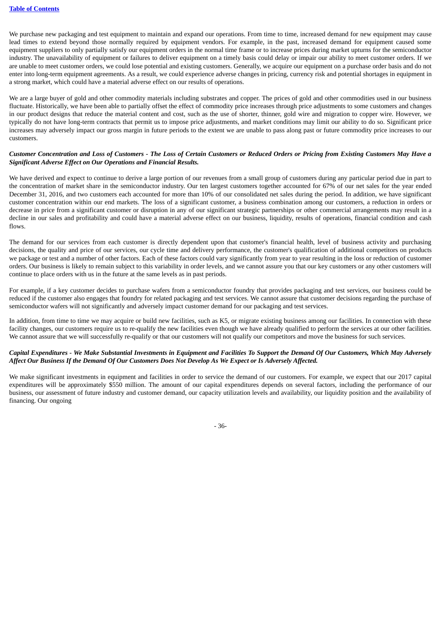We purchase new packaging and test equipment to maintain and expand our operations. From time to time, increased demand for new equipment may cause lead times to extend beyond those normally required by equipment vendors. For example, in the past, increased demand for equipment caused some equipment suppliers to only partially satisfy our equipment orders in the normal time frame or to increase prices during market upturns for the semiconductor industry. The unavailability of equipment or failures to deliver equipment on a timely basis could delay or impair our ability to meet customer orders. If we are unable to meet customer orders, we could lose potential and existing customers. Generally, we acquire our equipment on a purchase order basis and do not enter into long-term equipment agreements. As a result, we could experience adverse changes in pricing, currency risk and potential shortages in equipment in a strong market, which could have a material adverse effect on our results of operations.

We are a large buyer of gold and other commodity materials including substrates and copper. The prices of gold and other commodities used in our business fluctuate. Historically, we have been able to partially offset the effect of commodity price increases through price adjustments to some customers and changes in our product designs that reduce the material content and cost, such as the use of shorter, thinner, gold wire and migration to copper wire. However, we typically do not have long-term contracts that permit us to impose price adjustments, and market conditions may limit our ability to do so. Significant price increases may adversely impact our gross margin in future periods to the extent we are unable to pass along past or future commodity price increases to our customers.

## Customer Concentration and Loss of Customers - The Loss of Certain Customers or Reduced Orders or Pricina from Existina Customers May Have a *Significant Adverse Effect on Our Operations and Financial Results.*

We have derived and expect to continue to derive a large portion of our revenues from a small group of customers during any particular period due in part to the concentration of market share in the semiconductor industry. Our ten largest customers together accounted for 67% of our net sales for the year ended December 31, 2016, and two customers each accounted for more than 10% of our consolidated net sales during the period. In addition, we have significant customer concentration within our end markets. The loss of a significant customer, a business combination among our customers, a reduction in orders or decrease in price from a significant customer or disruption in any of our significant strategic partnerships or other commercial arrangements may result in a decline in our sales and profitability and could have a material adverse effect on our business, liquidity, results of operations, financial condition and cash flows.

The demand for our services from each customer is directly dependent upon that customer's financial health, level of business activity and purchasing decisions, the quality and price of our services, our cycle time and delivery performance, the customer's qualification of additional competitors on products we package or test and a number of other factors. Each of these factors could vary significantly from year to year resulting in the loss or reduction of customer orders. Our business is likely to remain subject to this variability in order levels, and we cannot assure you that our key customers or any other customers will continue to place orders with us in the future at the same levels as in past periods.

For example, if a key customer decides to purchase wafers from a semiconductor foundry that provides packaging and test services, our business could be reduced if the customer also engages that foundry for related packaging and test services. We cannot assure that customer decisions regarding the purchase of semiconductor wafers will not significantly and adversely impact customer demand for our packaging and test services.

In addition, from time to time we may acquire or build new facilities, such as K5, or migrate existing business among our facilities. In connection with these facility changes, our customers require us to re-qualify the new facilities even though we have already qualified to perform the services at our other facilities. We cannot assure that we will successfully re-qualify or that our customers will not qualify our competitors and move the business for such services.

## Capital Expenditures - We Make Substantial Investments in Equipment and Facilities To Support the Demand Of Our Customers, Which May Adversely Affect Our Business If the Demand Of Our Customers Does Not Develop As We Expect or Is Adversely Affected.

We make significant investments in equipment and facilities in order to service the demand of our customers. For example, we expect that our 2017 capital expenditures will be approximately \$550 million. The amount of our capital expenditures depends on several factors, including the performance of our business, our assessment of future industry and customer demand, our capacity utilization levels and availability, our liquidity position and the availability of financing. Our ongoing

- 36-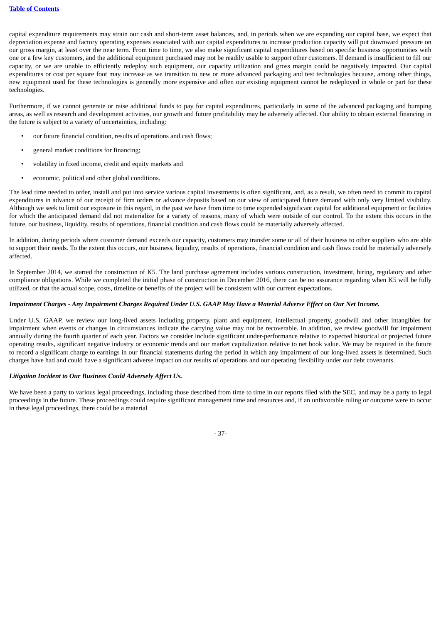capital expenditure requirements may strain our cash and short-term asset balances, and, in periods when we are expanding our capital base, we expect that depreciation expense and factory operating expenses associated with our capital expenditures to increase production capacity will put downward pressure on our gross margin, at least over the near term. From time to time, we also make significant capital expenditures based on specific business opportunities with one or a few key customers, and the additional equipment purchased may not be readily usable to support other customers. If demand is insufficient to fill our capacity, or we are unable to efficiently redeploy such equipment, our capacity utilization and gross margin could be negatively impacted. Our capital expenditures or cost per square foot may increase as we transition to new or more advanced packaging and test technologies because, among other things, new equipment used for these technologies is generally more expensive and often our existing equipment cannot be redeployed in whole or part for these technologies.

Furthermore, if we cannot generate or raise additional funds to pay for capital expenditures, particularly in some of the advanced packaging and bumping areas, as well as research and development activities, our growth and future profitability may be adversely affected. Our ability to obtain external financing in the future is subject to a variety of uncertainties, including:

- our future financial condition, results of operations and cash flows;
- general market conditions for financing;
- volatility in fixed income, credit and equity markets and
- economic, political and other global conditions.

The lead time needed to order, install and put into service various capital investments is often significant, and, as a result, we often need to commit to capital expenditures in advance of our receipt of firm orders or advance deposits based on our view of anticipated future demand with only very limited visibility. Although we seek to limit our exposure in this regard, in the past we have from time to time expended significant capital for additional equipment or facilities for which the anticipated demand did not materialize for a variety of reasons, many of which were outside of our control. To the extent this occurs in the future, our business, liquidity, results of operations, financial condition and cash flows could be materially adversely affected.

In addition, during periods where customer demand exceeds our capacity, customers may transfer some or all of their business to other suppliers who are able to support their needs. To the extent this occurs, our business, liquidity, results of operations, financial condition and cash flows could be materially adversely affected.

In September 2014, we started the construction of K5. The land purchase agreement includes various construction, investment, hiring, regulatory and other compliance obligations. While we completed the initial phase of construction in December 2016, there can be no assurance regarding when K5 will be fully utilized, or that the actual scope, costs, timeline or benefits of the project will be consistent with our current expectations.

## Impairment Charges - Any Impairment Charges Required Under U.S. GAAP May Have a Material Adverse Effect on Our Net Income.

Under U.S. GAAP, we review our long-lived assets including property, plant and equipment, intellectual property, goodwill and other intangibles for impairment when events or changes in circumstances indicate the carrying value may not be recoverable. In addition, we review goodwill for impairment annually during the fourth quarter of each year. Factors we consider include significant under-performance relative to expected historical or projected future operating results, significant negative industry or economic trends and our market capitalization relative to net book value. We may be required in the future to record a significant charge to earnings in our financial statements during the period in which any impairment of our long-lived assets is determined. Such charges have had and could have a significant adverse impact on our results of operations and our operating flexibility under our debt covenants.

#### *Litigation Incident to Our Business Could Adversely Affect Us.*

We have been a party to various legal proceedings, including those described from time to time in our reports filed with the SEC, and may be a party to legal proceedings in the future. These proceedings could require significant management time and resources and, if an unfavorable ruling or outcome were to occur in these legal proceedings, there could be a material

- 37-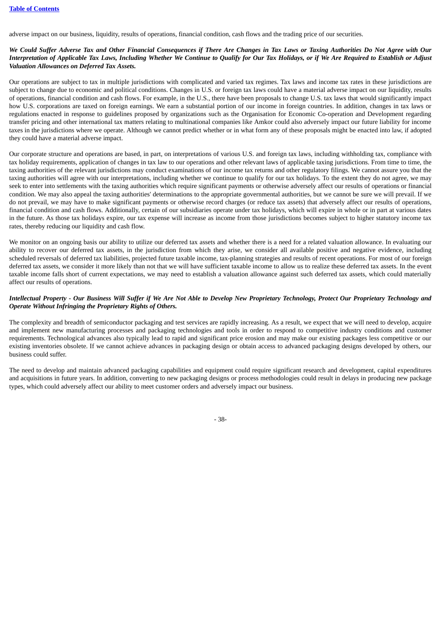adverse impact on our business, liquidity, results of operations, financial condition, cash flows and the trading price of our securities.

## We Could Suffer Adverse Tax and Other Financial Consequences if There Are Changes in Tax Laws or Taxing Authorities Do Not Agree with Our Interpretation of Applicable Tax Laws, Including Whether We Continue to Qualify for Our Tax Holidays, or if We Are Required to Establish or Adjust *Valuation Allowances on Deferred Tax Assets.*

Our operations are subject to tax in multiple jurisdictions with complicated and varied tax regimes. Tax laws and income tax rates in these jurisdictions are subject to change due to economic and political conditions. Changes in U.S. or foreign tax laws could have a material adverse impact on our liquidity, results of operations, financial condition and cash flows. For example, in the U.S., there have been proposals to change U.S. tax laws that would significantly impact how U.S. corporations are taxed on foreign earnings. We earn a substantial portion of our income in foreign countries. In addition, changes in tax laws or regulations enacted in response to guidelines proposed by organizations such as the Organisation for Economic Co-operation and Development regarding transfer pricing and other international tax matters relating to multinational companies like Amkor could also adversely impact our future liability for income taxes in the jurisdictions where we operate. Although we cannot predict whether or in what form any of these proposals might be enacted into law, if adopted they could have a material adverse impact.

Our corporate structure and operations are based, in part, on interpretations of various U.S. and foreign tax laws, including withholding tax, compliance with tax holiday requirements, application of changes in tax law to our operations and other relevant laws of applicable taxing jurisdictions. From time to time, the taxing authorities of the relevant jurisdictions may conduct examinations of our income tax returns and other regulatory filings. We cannot assure you that the taxing authorities will agree with our interpretations, including whether we continue to qualify for our tax holidays. To the extent they do not agree, we may seek to enter into settlements with the taxing authorities which require significant payments or otherwise adversely affect our results of operations or financial condition. We may also appeal the taxing authorities' determinations to the appropriate governmental authorities, but we cannot be sure we will prevail. If we do not prevail, we may have to make significant payments or otherwise record charges (or reduce tax assets) that adversely affect our results of operations, financial condition and cash flows. Additionally, certain of our subsidiaries operate under tax holidays, which will expire in whole or in part at various dates in the future. As those tax holidays expire, our tax expense will increase as income from those jurisdictions becomes subject to higher statutory income tax rates, thereby reducing our liquidity and cash flow.

We monitor on an ongoing basis our ability to utilize our deferred tax assets and whether there is a need for a related valuation allowance. In evaluating our ability to recover our deferred tax assets, in the jurisdiction from which they arise, we consider all available positive and negative evidence, including scheduled reversals of deferred tax liabilities, projected future taxable income, tax-planning strategies and results of recent operations. For most of our foreign deferred tax assets, we consider it more likely than not that we will have sufficient taxable income to allow us to realize these deferred tax assets. In the event taxable income falls short of current expectations, we may need to establish a valuation allowance against such deferred tax assets, which could materially affect our results of operations.

#### Intellectual Property - Our Business Will Suffer if We Are Not Able to Develop New Proprietary Technology, Protect Our Proprietary Technology and *Operate Without Infringing the Proprietary Rights of Others.*

The complexity and breadth of semiconductor packaging and test services are rapidly increasing. As a result, we expect that we will need to develop, acquire and implement new manufacturing processes and packaging technologies and tools in order to respond to competitive industry conditions and customer requirements. Technological advances also typically lead to rapid and significant price erosion and may make our existing packages less competitive or our existing inventories obsolete. If we cannot achieve advances in packaging design or obtain access to advanced packaging designs developed by others, our business could suffer.

The need to develop and maintain advanced packaging capabilities and equipment could require significant research and development, capital expenditures and acquisitions in future years. In addition, converting to new packaging designs or process methodologies could result in delays in producing new package types, which could adversely affect our ability to meet customer orders and adversely impact our business.

- 38-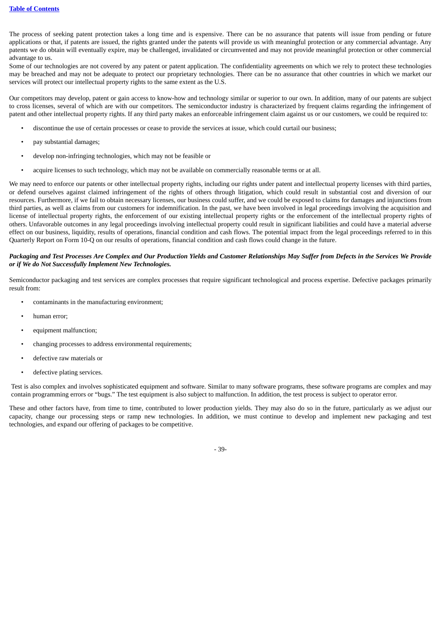The process of seeking patent protection takes a long time and is expensive. There can be no assurance that patents will issue from pending or future applications or that, if patents are issued, the rights granted under the patents will provide us with meaningful protection or any commercial advantage. Any patents we do obtain will eventually expire, may be challenged, invalidated or circumvented and may not provide meaningful protection or other commercial advantage to us.

Some of our technologies are not covered by any patent or patent application. The confidentiality agreements on which we rely to protect these technologies may be breached and may not be adequate to protect our proprietary technologies. There can be no assurance that other countries in which we market our services will protect our intellectual property rights to the same extent as the U.S.

Our competitors may develop, patent or gain access to know-how and technology similar or superior to our own. In addition, many of our patents are subject to cross licenses, several of which are with our competitors. The semiconductor industry is characterized by frequent claims regarding the infringement of patent and other intellectual property rights. If any third party makes an enforceable infringement claim against us or our customers, we could be required to:

- discontinue the use of certain processes or cease to provide the services at issue, which could curtail our business;
- pay substantial damages;
- develop non-infringing technologies, which may not be feasible or
- acquire licenses to such technology, which may not be available on commercially reasonable terms or at all.

We may need to enforce our patents or other intellectual property rights, including our rights under patent and intellectual property licenses with third parties, or defend ourselves against claimed infringement of the rights of others through litigation, which could result in substantial cost and diversion of our resources. Furthermore, if we fail to obtain necessary licenses, our business could suffer, and we could be exposed to claims for damages and injunctions from third parties, as well as claims from our customers for indemnification. In the past, we have been involved in legal proceedings involving the acquisition and license of intellectual property rights, the enforcement of our existing intellectual property rights or the enforcement of the intellectual property rights of others. Unfavorable outcomes in any legal proceedings involving intellectual property could result in significant liabilities and could have a material adverse effect on our business, liquidity, results of operations, financial condition and cash flows. The potential impact from the legal proceedings referred to in this Quarterly Report on Form 10-Q on our results of operations, financial condition and cash flows could change in the future.

## Packaging and Test Processes Are Complex and Our Production Yields and Customer Relationships May Suffer from Defects in the Services We Provide *or if We do Not Successfully Implement New Technologies.*

Semiconductor packaging and test services are complex processes that require significant technological and process expertise. Defective packages primarily result from:

- contaminants in the manufacturing environment;
- human error;
- equipment malfunction;
- changing processes to address environmental requirements;
- defective raw materials or
- defective plating services.

Test is also complex and involves sophisticated equipment and software. Similar to many software programs, these software programs are complex and may contain programming errors or "bugs." The test equipment is also subject to malfunction. In addition, the test process is subject to operator error.

These and other factors have, from time to time, contributed to lower production yields. They may also do so in the future, particularly as we adjust our capacity, change our processing steps or ramp new technologies. In addition, we must continue to develop and implement new packaging and test technologies, and expand our offering of packages to be competitive.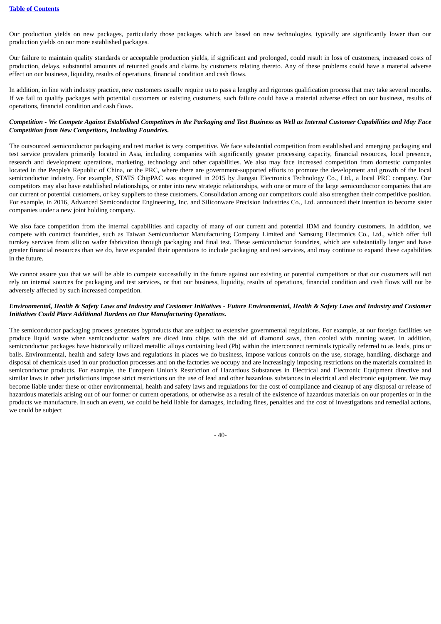Our production yields on new packages, particularly those packages which are based on new technologies, typically are significantly lower than our production yields on our more established packages.

Our failure to maintain quality standards or acceptable production yields, if significant and prolonged, could result in loss of customers, increased costs of production, delays, substantial amounts of returned goods and claims by customers relating thereto. Any of these problems could have a material adverse effect on our business, liquidity, results of operations, financial condition and cash flows.

In addition, in line with industry practice, new customers usually require us to pass a lengthy and rigorous qualification process that may take several months. If we fail to qualify packages with potential customers or existing customers, such failure could have a material adverse effect on our business, results of operations, financial condition and cash flows.

#### Competition - We Compete Against Established Competitors in the Packaging and Test Business as Well as Internal Customer Capabilities and May Face *Competition from New Competitors, Including Foundries.*

The outsourced semiconductor packaging and test market is very competitive. We face substantial competition from established and emerging packaging and test service providers primarily located in Asia, including companies with significantly greater processing capacity, financial resources, local presence, research and development operations, marketing, technology and other capabilities. We also may face increased competition from domestic companies located in the People's Republic of China, or the PRC, where there are government-supported efforts to promote the development and growth of the local semiconductor industry. For example, STATS ChipPAC was acquired in 2015 by Jiangsu Electronics Technology Co., Ltd., a local PRC company. Our competitors may also have established relationships, or enter into new strategic relationships, with one or more of the large semiconductor companies that are our current or potential customers, or key suppliers to these customers. Consolidation among our competitors could also strengthen their competitive position. For example, in 2016, Advanced Semiconductor Engineering, Inc. and Siliconware Precision Industries Co., Ltd. announced their intention to become sister companies under a new joint holding company.

We also face competition from the internal capabilities and capacity of many of our current and potential IDM and foundry customers. In addition, we compete with contract foundries, such as Taiwan Semiconductor Manufacturing Company Limited and Samsung Electronics Co., Ltd., which offer full turnkey services from silicon wafer fabrication through packaging and final test. These semiconductor foundries, which are substantially larger and have greater financial resources than we do, have expanded their operations to include packaging and test services, and may continue to expand these capabilities in the future.

We cannot assure you that we will be able to compete successfully in the future against our existing or potential competitors or that our customers will not rely on internal sources for packaging and test services, or that our business, liquidity, results of operations, financial condition and cash flows will not be adversely affected by such increased competition.

## Environmental, Health & Safety Laws and Industry and Customer Initiatives - Future Environmental, Health & Safety Laws and Industry and Customer *Initiatives Could Place Additional Burdens on Our Manufacturing Operations.*

The semiconductor packaging process generates byproducts that are subject to extensive governmental regulations. For example, at our foreign facilities we produce liquid waste when semiconductor wafers are diced into chips with the aid of diamond saws, then cooled with running water. In addition, semiconductor packages have historically utilized metallic alloys containing lead (Pb) within the interconnect terminals typically referred to as leads, pins or balls. Environmental, health and safety laws and regulations in places we do business, impose various controls on the use, storage, handling, discharge and disposal of chemicals used in our production processes and on the factories we occupy and are increasingly imposing restrictions on the materials contained in semiconductor products. For example, the European Union's Restriction of Hazardous Substances in Electrical and Electronic Equipment directive and similar laws in other jurisdictions impose strict restrictions on the use of lead and other hazardous substances in electrical and electronic equipment. We may become liable under these or other environmental, health and safety laws and regulations for the cost of compliance and cleanup of any disposal or release of hazardous materials arising out of our former or current operations, or otherwise as a result of the existence of hazardous materials on our properties or in the products we manufacture. In such an event, we could be held liable for damages, including fines, penalties and the cost of investigations and remedial actions, we could be subject

 $-40-$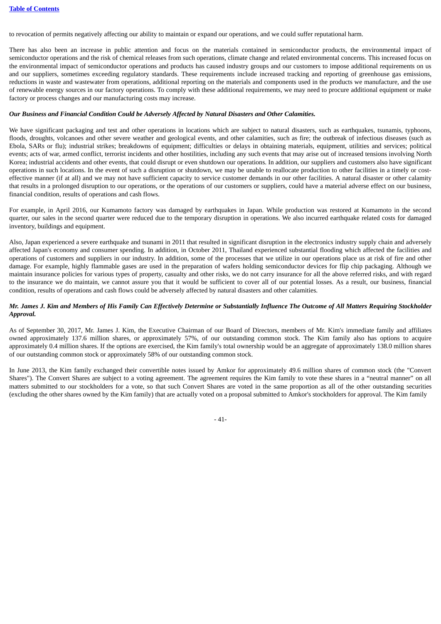to revocation of permits negatively affecting our ability to maintain or expand our operations, and we could suffer reputational harm.

There has also been an increase in public attention and focus on the materials contained in semiconductor products, the environmental impact of semiconductor operations and the risk of chemical releases from such operations, climate change and related environmental concerns. This increased focus on the environmental impact of semiconductor operations and products has caused industry groups and our customers to impose additional requirements on us and our suppliers, sometimes exceeding regulatory standards. These requirements include increased tracking and reporting of greenhouse gas emissions, reductions in waste and wastewater from operations, additional reporting on the materials and components used in the products we manufacture, and the use of renewable energy sources in our factory operations. To comply with these additional requirements, we may need to procure additional equipment or make factory or process changes and our manufacturing costs may increase.

#### *Our Business and Financial Condition Could be Adversely Affected by Natural Disasters and Other Calamities.*

We have significant packaging and test and other operations in locations which are subject to natural disasters, such as earthquakes, tsunamis, typhoons, floods, droughts, volcanoes and other severe weather and geological events, and other calamities, such as fire; the outbreak of infectious diseases (such as Ebola, SARs or flu); industrial strikes; breakdowns of equipment; difficulties or delays in obtaining materials, equipment, utilities and services; political events; acts of war, armed conflict, terrorist incidents and other hostilities, including any such events that may arise out of increased tensions involving North Korea; industrial accidents and other events, that could disrupt or even shutdown our operations. In addition, our suppliers and customers also have significant operations in such locations. In the event of such a disruption or shutdown, we may be unable to reallocate production to other facilities in a timely or costeffective manner (if at all) and we may not have sufficient capacity to service customer demands in our other facilities. A natural disaster or other calamity that results in a prolonged disruption to our operations, or the operations of our customers or suppliers, could have a material adverse effect on our business, financial condition, results of operations and cash flows.

For example, in April 2016, our Kumamoto factory was damaged by earthquakes in Japan. While production was restored at Kumamoto in the second quarter, our sales in the second quarter were reduced due to the temporary disruption in operations. We also incurred earthquake related costs for damaged inventory, buildings and equipment.

Also, Japan experienced a severe earthquake and tsunami in 2011 that resulted in significant disruption in the electronics industry supply chain and adversely affected Japan's economy and consumer spending. In addition, in October 2011, Thailand experienced substantial flooding which affected the facilities and operations of customers and suppliers in our industry. In addition, some of the processes that we utilize in our operations place us at risk of fire and other damage. For example, highly flammable gases are used in the preparation of wafers holding semiconductor devices for flip chip packaging. Although we maintain insurance policies for various types of property, casualty and other risks, we do not carry insurance for all the above referred risks, and with regard to the insurance we do maintain, we cannot assure you that it would be sufficient to cover all of our potential losses. As a result, our business, financial condition, results of operations and cash flows could be adversely affected by natural disasters and other calamities.

## Mr. James J. Kim and Members of His Family Can Effectively Determine or Substantially Influence The Outcome of All Matters Requiring Stockholder *Approval.*

As of September 30, 2017, Mr. James J. Kim, the Executive Chairman of our Board of Directors, members of Mr. Kim's immediate family and affiliates owned approximately 137.6 million shares, or approximately 57%, of our outstanding common stock. The Kim family also has options to acquire approximately 0.4 million shares. If the options are exercised, the Kim family's total ownership would be an aggregate of approximately 138.0 million shares of our outstanding common stock or approximately 58% of our outstanding common stock.

In June 2013, the Kim family exchanged their convertible notes issued by Amkor for approximately 49.6 million shares of common stock (the "Convert Shares"). The Convert Shares are subject to a voting agreement. The agreement requires the Kim family to vote these shares in a "neutral manner" on all matters submitted to our stockholders for a vote, so that such Convert Shares are voted in the same proportion as all of the other outstanding securities (excluding the other shares owned by the Kim family) that are actually voted on a proposal submitted to Amkor's stockholders for approval. The Kim family

- 41-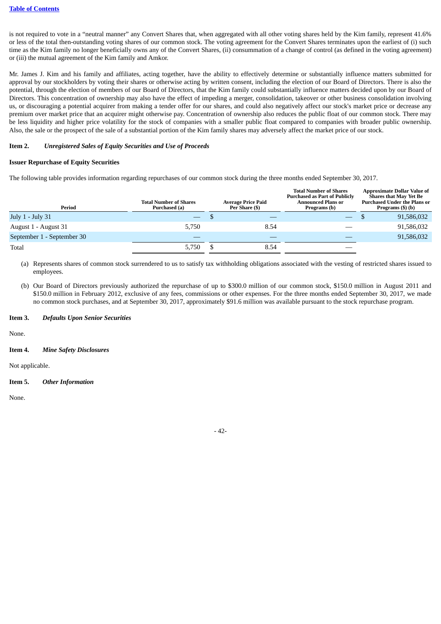is not required to vote in a "neutral manner" any Convert Shares that, when aggregated with all other voting shares held by the Kim family, represent 41.6% or less of the total then-outstanding voting shares of our common stock. The voting agreement for the Convert Shares terminates upon the earliest of (i) such time as the Kim family no longer beneficially owns any of the Convert Shares, (ii) consummation of a change of control (as defined in the voting agreement) or (iii) the mutual agreement of the Kim family and Amkor.

Mr. James J. Kim and his family and affiliates, acting together, have the ability to effectively determine or substantially influence matters submitted for approval by our stockholders by voting their shares or otherwise acting by written consent, including the election of our Board of Directors. There is also the potential, through the election of members of our Board of Directors, that the Kim family could substantially influence matters decided upon by our Board of Directors. This concentration of ownership may also have the effect of impeding a merger, consolidation, takeover or other business consolidation involving us, or discouraging a potential acquirer from making a tender offer for our shares, and could also negatively affect our stock's market price or decrease any premium over market price that an acquirer might otherwise pay. Concentration of ownership also reduces the public float of our common stock. There may be less liquidity and higher price volatility for the stock of companies with a smaller public float compared to companies with broader public ownership. Also, the sale or the prospect of the sale of a substantial portion of the Kim family shares may adversely affect the market price of our stock.

## <span id="page-42-0"></span>**Item 2.** *Unregistered Sales of Equity Securities and Use of Proceeds*

#### **Issuer Repurchase of Equity Securities**

The following table provides information regarding repurchases of our common stock during the three months ended September 30, 2017.

| Period                     | <b>Total Number of Shares</b><br>Purchased (a) | <b>Average Price Paid</b><br>Per Share (\$) | <b>Total Number of Shares</b><br><b>Purchased as Part of Publicly</b><br><b>Announced Plans or</b><br>Programs (b) | <b>Approximate Dollar Value of</b><br><b>Shares that May Yet Be</b><br><b>Purchased Under the Plans or</b><br>Programs $(\$)$ (b) |
|----------------------------|------------------------------------------------|---------------------------------------------|--------------------------------------------------------------------------------------------------------------------|-----------------------------------------------------------------------------------------------------------------------------------|
| July 1 - July 31           |                                                |                                             | $\overline{\phantom{a}}$                                                                                           | 91,586,032                                                                                                                        |
| August 1 - August 31       | 5.750                                          | 8.54                                        |                                                                                                                    | 91,586,032                                                                                                                        |
| September 1 - September 30 |                                                |                                             |                                                                                                                    | 91,586,032                                                                                                                        |
| Total                      | 5.750                                          | 8.54                                        |                                                                                                                    |                                                                                                                                   |

(a) Represents shares of common stock surrendered to us to satisfy tax withholding obligations associated with the vesting of restricted shares issued to employees.

(b) Our Board of Directors previously authorized the repurchase of up to \$300.0 million of our common stock, \$150.0 million in August 2011 and \$150.0 million in February 2012, exclusive of any fees, commissions or other expenses. For the three months ended September 30, 2017, we made no common stock purchases, and at September 30, 2017, approximately \$91.6 million was available pursuant to the stock repurchase program.

#### <span id="page-42-1"></span>**Item 3.** *Defaults Upon Senior Securities*

None.

## <span id="page-42-2"></span>**Item 4.** *Mine Safety Disclosures*

Not applicable.

## <span id="page-42-3"></span>**Item 5.** *Other Information*

None.

- 42-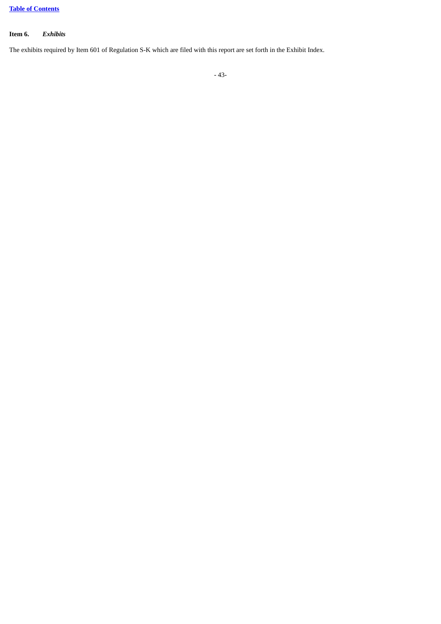# <span id="page-43-0"></span>**Item 6.** *Exhibits*

The exhibits required by Item 601 of Regulation S-K which are filed with this report are set forth in the Exhibit Index.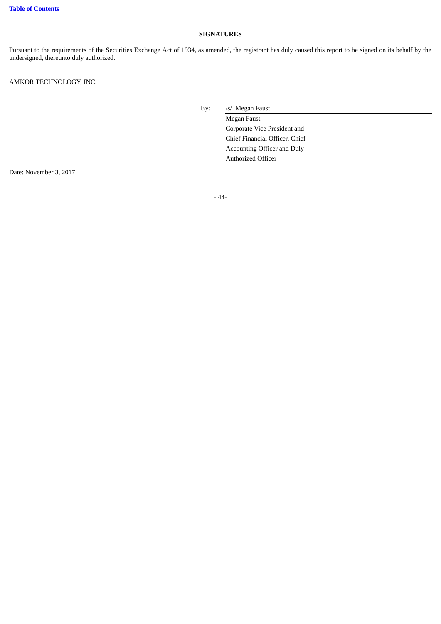## **SIGNATURES**

<span id="page-44-0"></span>Pursuant to the requirements of the Securities Exchange Act of 1934, as amended, the registrant has duly caused this report to be signed on its behalf by the undersigned, thereunto duly authorized.

AMKOR TECHNOLOGY, INC.

By: /s/ Megan Faust

Megan Faust Corporate Vice President and Chief Financial Officer, Chief Accounting Officer and Duly Authorized Officer

Date: November 3, 2017

- 44-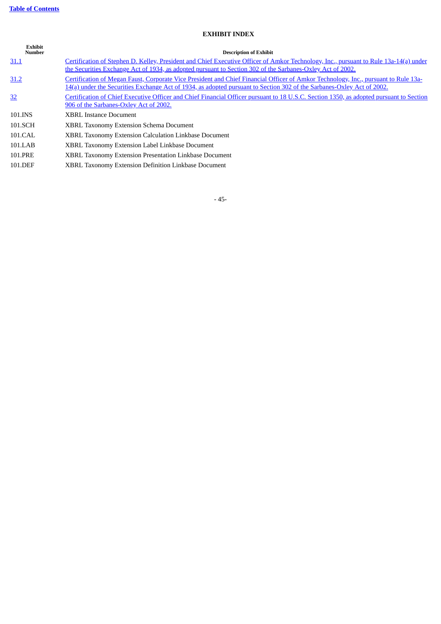# **EXHIBIT INDEX**

| <b>Exhibit</b><br><b>Number</b> | <b>Description of Exhibit</b>                                                                                                                                                                                                                                 |
|---------------------------------|---------------------------------------------------------------------------------------------------------------------------------------------------------------------------------------------------------------------------------------------------------------|
| <u>31.1</u>                     | Certification of Stephen D. Kelley, President and Chief Executive Officer of Amkor Technology, Inc., pursuant to Rule 13a-14(a) under<br>the Securities Exchange Act of 1934, as adopted pursuant to Section 302 of the Sarbanes-Oxley Act of 2002.           |
| 31.2                            | Certification of Megan Faust, Corporate Vice President and Chief Financial Officer of Amkor Technology, Inc., pursuant to Rule 13a-<br>14(a) under the Securities Exchange Act of 1934, as adopted pursuant to Section 302 of the Sarbanes-Oxley Act of 2002. |
| 32                              | Certification of Chief Executive Officer and Chief Financial Officer pursuant to 18 U.S.C. Section 1350, as adopted pursuant to Section<br>906 of the Sarbanes-Oxley Act of 2002.                                                                             |
| 101.INS                         | <b>XBRL Instance Document</b>                                                                                                                                                                                                                                 |
| 101.SCH                         | <b>XBRL Taxonomy Extension Schema Document</b>                                                                                                                                                                                                                |
| 101.CAL                         | <b>XBRL Taxonomy Extension Calculation Linkbase Document</b>                                                                                                                                                                                                  |
| 101.LAB                         | XBRL Taxonomy Extension Label Linkbase Document                                                                                                                                                                                                               |
| 101.PRE                         | XBRL Taxonomy Extension Presentation Linkbase Document                                                                                                                                                                                                        |
| 101.DEF                         | <b>XBRL Taxonomy Extension Definition Linkbase Document</b>                                                                                                                                                                                                   |

- 45-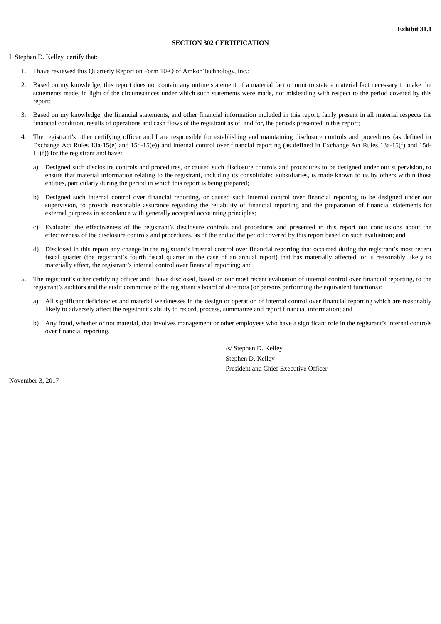#### **SECTION 302 CERTIFICATION**

<span id="page-46-0"></span>I, Stephen D. Kelley, certify that:

- 1. I have reviewed this Quarterly Report on Form 10-Q of Amkor Technology, Inc.;
- 2. Based on my knowledge, this report does not contain any untrue statement of a material fact or omit to state a material fact necessary to make the statements made, in light of the circumstances under which such statements were made, not misleading with respect to the period covered by this report;
- 3. Based on my knowledge, the financial statements, and other financial information included in this report, fairly present in all material respects the financial condition, results of operations and cash flows of the registrant as of, and for, the periods presented in this report;
- 4. The registrant's other certifying officer and I are responsible for establishing and maintaining disclosure controls and procedures (as defined in Exchange Act Rules 13a-15(e) and 15d-15(e)) and internal control over financial reporting (as defined in Exchange Act Rules 13a-15(f) and 15d- $15(f)$ ) for the registrant and have:
	- a) Designed such disclosure controls and procedures, or caused such disclosure controls and procedures to be designed under our supervision, to ensure that material information relating to the registrant, including its consolidated subsidiaries, is made known to us by others within those entities, particularly during the period in which this report is being prepared;
	- b) Designed such internal control over financial reporting, or caused such internal control over financial reporting to be designed under our supervision, to provide reasonable assurance regarding the reliability of financial reporting and the preparation of financial statements for external purposes in accordance with generally accepted accounting principles;
	- c) Evaluated the effectiveness of the registrant's disclosure controls and procedures and presented in this report our conclusions about the effectiveness of the disclosure controls and procedures, as of the end of the period covered by this report based on such evaluation; and
	- d) Disclosed in this report any change in the registrant's internal control over financial reporting that occurred during the registrant's most recent fiscal quarter (the registrant's fourth fiscal quarter in the case of an annual report) that has materially affected, or is reasonably likely to materially affect, the registrant's internal control over financial reporting; and
- 5. The registrant's other certifying officer and I have disclosed, based on our most recent evaluation of internal control over financial reporting, to the registrant's auditors and the audit committee of the registrant's board of directors (or persons performing the equivalent functions):
	- a) All significant deficiencies and material weaknesses in the design or operation of internal control over financial reporting which are reasonably likely to adversely affect the registrant's ability to record, process, summarize and report financial information; and
	- b) Any fraud, whether or not material, that involves management or other employees who have a significant role in the registrant's internal controls over financial reporting.

/s/ Stephen D. Kelley

Stephen D. Kelley President and Chief Executive Officer

November 3, 2017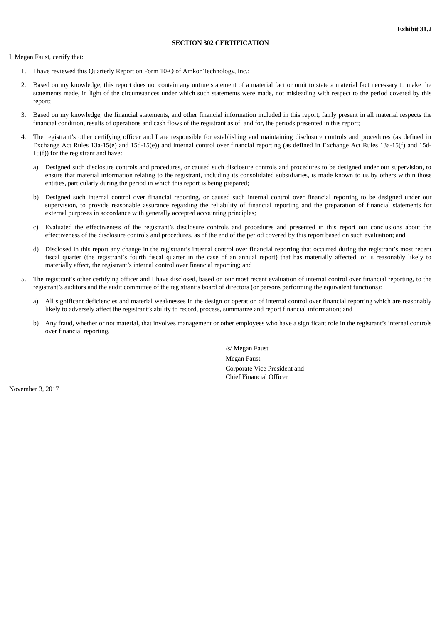#### **SECTION 302 CERTIFICATION**

<span id="page-47-0"></span>I, Megan Faust, certify that:

- 1. I have reviewed this Quarterly Report on Form 10-Q of Amkor Technology, Inc.;
- 2. Based on my knowledge, this report does not contain any untrue statement of a material fact or omit to state a material fact necessary to make the statements made, in light of the circumstances under which such statements were made, not misleading with respect to the period covered by this report;
- 3. Based on my knowledge, the financial statements, and other financial information included in this report, fairly present in all material respects the financial condition, results of operations and cash flows of the registrant as of, and for, the periods presented in this report;
- 4. The registrant's other certifying officer and I are responsible for establishing and maintaining disclosure controls and procedures (as defined in Exchange Act Rules 13a-15(e) and 15d-15(e)) and internal control over financial reporting (as defined in Exchange Act Rules 13a-15(f) and 15d- $15(f)$ ) for the registrant and have:
	- a) Designed such disclosure controls and procedures, or caused such disclosure controls and procedures to be designed under our supervision, to ensure that material information relating to the registrant, including its consolidated subsidiaries, is made known to us by others within those entities, particularly during the period in which this report is being prepared;
	- b) Designed such internal control over financial reporting, or caused such internal control over financial reporting to be designed under our supervision, to provide reasonable assurance regarding the reliability of financial reporting and the preparation of financial statements for external purposes in accordance with generally accepted accounting principles;
	- c) Evaluated the effectiveness of the registrant's disclosure controls and procedures and presented in this report our conclusions about the effectiveness of the disclosure controls and procedures, as of the end of the period covered by this report based on such evaluation; and
	- d) Disclosed in this report any change in the registrant's internal control over financial reporting that occurred during the registrant's most recent fiscal quarter (the registrant's fourth fiscal quarter in the case of an annual report) that has materially affected, or is reasonably likely to materially affect, the registrant's internal control over financial reporting; and
- 5. The registrant's other certifying officer and I have disclosed, based on our most recent evaluation of internal control over financial reporting, to the registrant's auditors and the audit committee of the registrant's board of directors (or persons performing the equivalent functions):
	- a) All significant deficiencies and material weaknesses in the design or operation of internal control over financial reporting which are reasonably likely to adversely affect the registrant's ability to record, process, summarize and report financial information; and
	- b) Any fraud, whether or not material, that involves management or other employees who have a significant role in the registrant's internal controls over financial reporting.

/s/ Megan Faust

Megan Faust Corporate Vice President and Chief Financial Officer

November 3, 2017